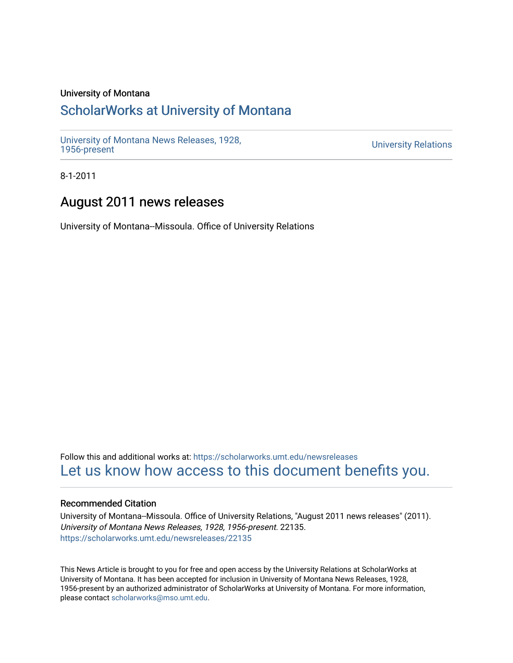# University of Montana

# [ScholarWorks at University of Montana](https://scholarworks.umt.edu/)

[University of Montana News Releases, 1928,](https://scholarworks.umt.edu/newsreleases) 

**University Relations** 

8-1-2011

# August 2011 news releases

University of Montana--Missoula. Office of University Relations

Follow this and additional works at: [https://scholarworks.umt.edu/newsreleases](https://scholarworks.umt.edu/newsreleases?utm_source=scholarworks.umt.edu%2Fnewsreleases%2F22135&utm_medium=PDF&utm_campaign=PDFCoverPages) [Let us know how access to this document benefits you.](https://goo.gl/forms/s2rGfXOLzz71qgsB2) 

# Recommended Citation

University of Montana--Missoula. Office of University Relations, "August 2011 news releases" (2011). University of Montana News Releases, 1928, 1956-present. 22135. [https://scholarworks.umt.edu/newsreleases/22135](https://scholarworks.umt.edu/newsreleases/22135?utm_source=scholarworks.umt.edu%2Fnewsreleases%2F22135&utm_medium=PDF&utm_campaign=PDFCoverPages) 

This News Article is brought to you for free and open access by the University Relations at ScholarWorks at University of Montana. It has been accepted for inclusion in University of Montana News Releases, 1928, 1956-present by an authorized administrator of ScholarWorks at University of Montana. For more information, please contact [scholarworks@mso.umt.edu.](mailto:scholarworks@mso.umt.edu)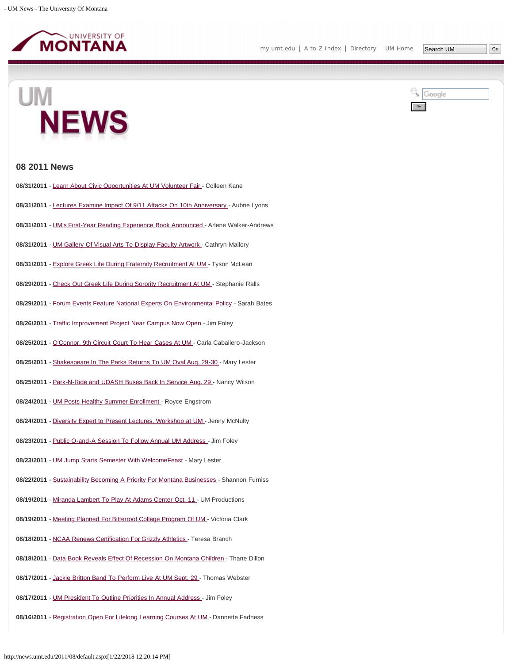





# **08 2011 News**

- **08/31/2011** - [Learn About Civic Opportunities At UM Volunteer Fair](#page-3-0)  Colleen Kane
- **08/31/2011** - [Lectures Examine Impact Of 9/11 Attacks On 10th Anniversary -](#page-4-0) Aubrie Lyons
- **08/31/2011** - [UM's First-Year Reading Experience Book Announced](#page-5-0)  Arlene Walker-Andrews
- 08/31/2011 - [UM Gallery Of Visual Arts To Display Faculty Artwork -](#page-6-0) Cathryn Mallory
- 08/31/2011 Explore Greek Life During Fraternity Recruitment At UM<sub>-Tyson McLean</sub>
- 08/29/2011 Check Out Greek Life During Sorority Recruitment At UM<sub>-</sub> Stephanie Ralls
- **08/29/2011** - [Forum Events Feature National Experts On Environmental Policy](#page-9-0)  Sarah Bates
- **08/26/2011** - [Traffic Improvement Project Near Campus Now Open](#page-10-0)  Jim Foley
- **08/25/2011** - [O'Connor, 9th Circuit Court To Hear Cases At UM -](#page-11-0) Carla Caballero-Jackson
- **08/25/2011** - [Shakespeare In The Parks Returns To UM Oval Aug. 29-30](#page-13-0)  Mary Lester
- **08/25/2011** - [Park-N-Ride and UDASH Buses Back In Service Aug. 29](#page-14-0)  Nancy Wilson
- 08/24/2011 - [UM Posts Healthy Summer Enrollment](#page-15-0)  Royce Engstrom
- 08/24/2011 Diversity Expert to Present Lectures, Workshop at UM<sub>-</sub> Jenny McNulty
- 08/23/2011 - [Public Q-and-A Session To Follow Annual UM Address -](#page-17-0) Jim Foley
- 08/23/2011 - [UM Jump Starts Semester With WelcomeFeast -](#page-18-0) Mary Lester
- 08/22/2011 - [Sustainability Becoming A Priority For Montana Businesses](#page-19-0)  Shannon Furniss
- **08/19/2011** - [Miranda Lambert To Play At Adams Center Oct. 11 -](#page-20-0) UM Productions
- **08/19/2011** - [Meeting Planned For Bitterroot College Program Of UM](#page-21-0)  Victoria Clark
- 08/18/2011 - [NCAA Renews Certification For Grizzly Athletics -](#page-22-0) Teresa Branch
- **08/18/2011** - [Data Book Reveals Effect Of Recession On Montana Children](#page-24-0)  Thane Dillon
- 08/17/2011 - [Jackie Britton Band To Perform Live At UM Sept. 29](#page-26-0)  Thomas Webster
- 08/17/2011 - [UM President To Outline Priorities In Annual Address](#page-27-0)  Jim Foley
- **08/16/2011** - [Registration Open For Lifelong Learning Courses At UM -](#page-28-0) Dannette Fadness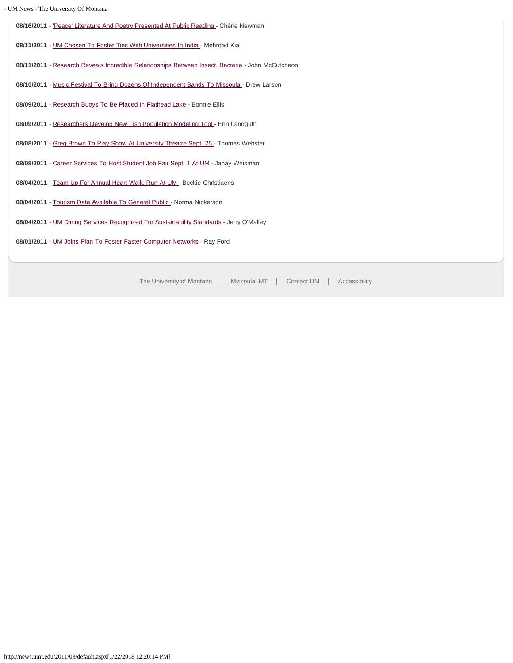|  |  | - UM News - The University Of Montana |
|--|--|---------------------------------------|
|  |  |                                       |

- 08/16/2011 - ['Peace' Literature And Poetry Presented At Public Reading -](#page-30-0) Chérie Newman
- 08/11/2011 - [UM Chosen To Foster Ties With Universities In India](#page-31-0)  Mehrdad Kia
- 08/11/2011 - [Research Reveals Incredible Relationships Between Insect, Bacteria -](#page-33-0) John McCutcheon
- 08/10/2011 - [Music Festival To Bring Dozens Of Independent Bands To Missoula](#page-35-0)  Drew Larson
- **08/09/2011** - [Research Buoys To Be Placed In Flathead Lake](#page-36-0)  Bonnie Ellis
- **08/09/2011** - [Researchers Develop New Fish Population Modeling Tool -](#page-38-0) Erin Landguth
- **08/08/2011** - [Greg Brown To Play Show At University Theatre Sept. 25](#page-39-0)  Thomas Webster
- 08/08/2011 - [Career Services To Host Student Job Fair Sept. 1 At UM](#page-40-0)  Janay Whisman
- 08/04/2011 - [Team Up For Annual Heart Walk, Run At UM](#page-41-0)  Beckie Christiaens
- 08/04/2011 - [Tourism Data Available To General Public -](#page-42-0) Norma Nickerson
- **08/04/2011** - [UM Dining Services Recognized For Sustainability Standards](#page-43-0)  Jerry O'Malley
- 08/01/2011 - [UM Joins Plan To Foster Faster Computer Networks](#page-44-0)  Ray Ford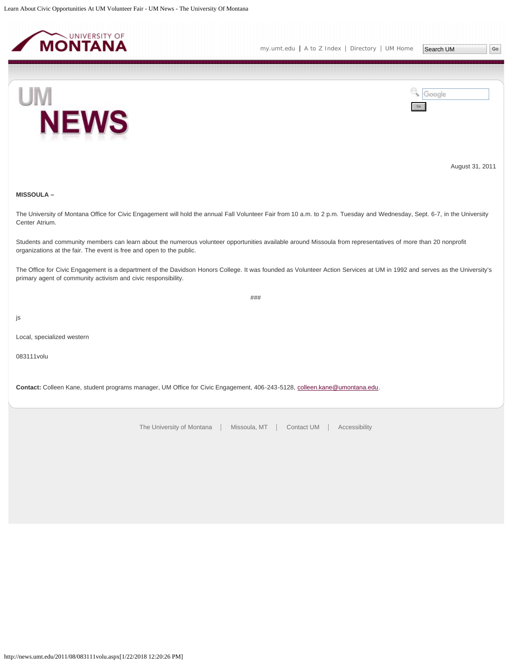<span id="page-3-0"></span>



Go

Google

August 31, 2011

# **MISSOULA –**

The University of Montana Office for Civic Engagement will hold the annual Fall Volunteer Fair from 10 a.m. to 2 p.m. Tuesday and Wednesday, Sept. 6-7, in the University Center Atrium.

Students and community members can learn about the numerous volunteer opportunities available around Missoula from representatives of more than 20 nonprofit organizations at the fair. The event is free and open to the public.

The Office for Civic Engagement is a department of the Davidson Honors College. It was founded as Volunteer Action Services at UM in 1992 and serves as the University's primary agent of community activism and civic responsibility.

###

js

Local, specialized western

083111volu

**Contact:** Colleen Kane, student programs manager, UM Office for Civic Engagement, 406-243-5128, [colleen.kane@umontana.edu.](mailto:colleen.kane@umontana.edu)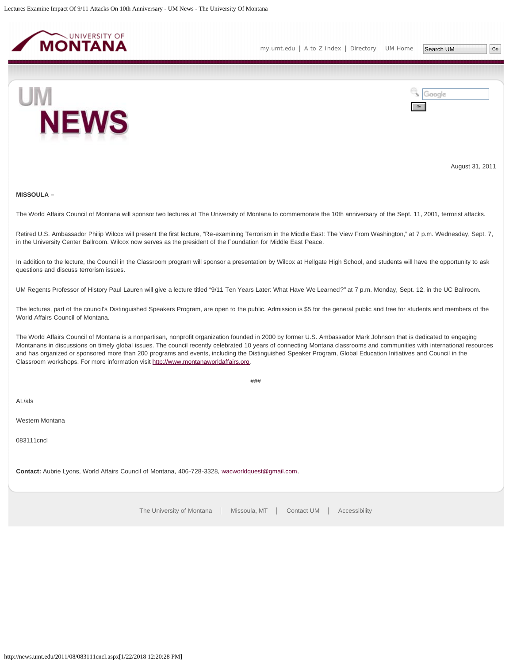<span id="page-4-0"></span>



August 31, 2011

# **MISSOULA –**

The World Affairs Council of Montana will sponsor two lectures at The University of Montana to commemorate the 10th anniversary of the Sept. 11, 2001, terrorist attacks.

Retired U.S. Ambassador Philip Wilcox will present the first lecture, "Re-examining Terrorism in the Middle East: The View From Washington," at 7 p.m. Wednesday, Sept. 7, in the University Center Ballroom. Wilcox now serves as the president of the Foundation for Middle East Peace.

In addition to the lecture, the Council in the Classroom program will sponsor a presentation by Wilcox at Hellgate High School, and students will have the opportunity to ask questions and discuss terrorism issues.

UM Regents Professor of History Paul Lauren will give a lecture titled "9/11 Ten Years Later: What Have We Learned?" at 7 p.m. Monday, Sept. 12, in the UC Ballroom.

The lectures, part of the council's Distinguished Speakers Program, are open to the public. Admission is \$5 for the general public and free for students and members of the World Affairs Council of Montana.

The World Affairs Council of Montana is a nonpartisan, nonprofit organization founded in 2000 by former U.S. Ambassador Mark Johnson that is dedicated to engaging Montanans in discussions on timely global issues. The council recently celebrated 10 years of connecting Montana classrooms and communities with international resources and has organized or sponsored more than 200 programs and events, including the Distinguished Speaker Program, Global Education Initiatives and Council in the Classroom workshops. For more information visit [http://www.montanaworldaffairs.org.](http://www.montanaworldaffairs.org/)

 $#HH$ 

AL/als

Western Montana

083111cncl

Contact: Aubrie Lyons, World Affairs Council of Montana, 406-728-3328, [wacworldquest@gmail.com.](mailto:wacworldquest@gmail.com)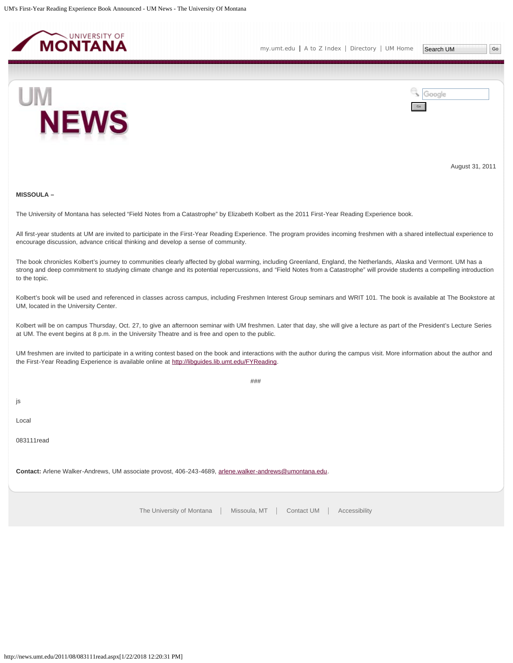<span id="page-5-0"></span>



August 31, 2011

# **MISSOULA –**

The University of Montana has selected "Field Notes from a Catastrophe" by Elizabeth Kolbert as the 2011 First-Year Reading Experience book.

All first-year students at UM are invited to participate in the First-Year Reading Experience. The program provides incoming freshmen with a shared intellectual experience to encourage discussion, advance critical thinking and develop a sense of community.

The book chronicles Kolbert's journey to communities clearly affected by global warming, including Greenland, England, the Netherlands, Alaska and Vermont. UM has a strong and deep commitment to studying climate change and its potential repercussions, and "Field Notes from a Catastrophe" will provide students a compelling introduction to the topic.

Kolbert's book will be used and referenced in classes across campus, including Freshmen Interest Group seminars and WRIT 101. The book is available at The Bookstore at UM, located in the University Center.

Kolbert will be on campus Thursday, Oct. 27, to give an afternoon seminar with UM freshmen. Later that day, she will give a lecture as part of the President's Lecture Series at UM. The event begins at 8 p.m. in the University Theatre and is free and open to the public.

UM freshmen are invited to participate in a writing contest based on the book and interactions with the author during the campus visit. More information about the author and the First-Year Reading Experience is available online at<http://libguides.lib.umt.edu/FYReading>.

 $#HH$ 

js

Local

083111read

**Contact:** Arlene Walker-Andrews, UM associate provost, 406-243-4689, [arlene.walker-andrews@umontana.edu.](mailto:arlene.walker-andrews@umontana.edu)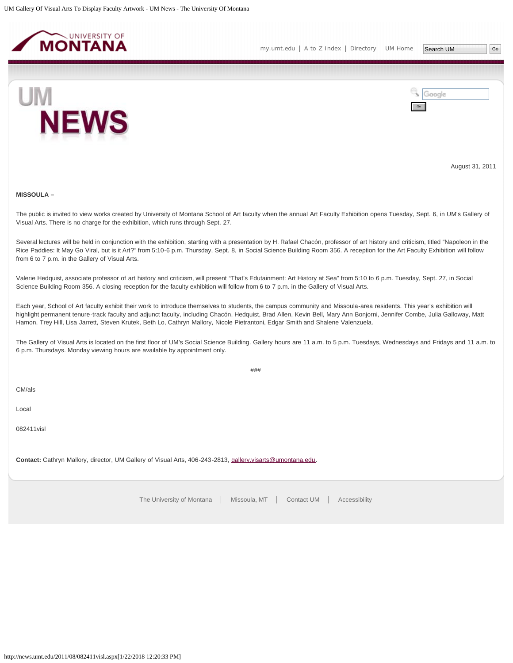<span id="page-6-0"></span>

[my.umt.edu](http://my.umt.edu/) | [A to Z Index](http://www.umt.edu/search/atoz/) | [Directory](http://www.umt.edu/directory/) | [UM Home](http://www.umt.edu/)



Google Go

August 31, 2011

# **MISSOULA –**

The public is invited to view works created by University of Montana School of Art faculty when the annual Art Faculty Exhibition opens Tuesday, Sept. 6, in UM's Gallery of Visual Arts. There is no charge for the exhibition, which runs through Sept. 27.

Several lectures will be held in conjunction with the exhibition, starting with a presentation by H. Rafael Chacón, professor of art history and criticism, titled "Napoleon in the Rice Paddies: It May Go Viral, but is it Art?" from 5:10-6 p.m. Thursday, Sept. 8, in Social Science Building Room 356. A reception for the Art Faculty Exhibition will follow from 6 to 7 p.m. in the Gallery of Visual Arts.

Valerie Hedquist, associate professor of art history and criticism, will present "That's Edutainment: Art History at Sea" from 5:10 to 6 p.m. Tuesday, Sept. 27, in Social Science Building Room 356. A closing reception for the faculty exhibition will follow from 6 to 7 p.m. in the Gallery of Visual Arts.

Each year, School of Art faculty exhibit their work to introduce themselves to students, the campus community and Missoula-area residents. This year's exhibition will highlight permanent tenure-track faculty and adjunct faculty, including Chacón, Hedquist, Brad Allen, Kevin Bell, Mary Ann Bonjorni, Jennifer Combe, Julia Galloway, Matt Hamon, Trey Hill, Lisa Jarrett, Steven Krutek, Beth Lo, Cathryn Mallory, Nicole Pietrantoni, Edgar Smith and Shalene Valenzuela.

The Gallery of Visual Arts is located on the first floor of UM's Social Science Building. Gallery hours are 11 a.m. to 5 p.m. Tuesdays, Wednesdays and Fridays and 11 a.m. to 6 p.m. Thursdays. Monday viewing hours are available by appointment only.

###

CM/als

Local

082411visl

**Contact:** Cathryn Mallory, director, UM Gallery of Visual Arts, 406-243-2813, [gallery.visarts@umontana.edu](mailto:gallery.visarts@umontana.edu).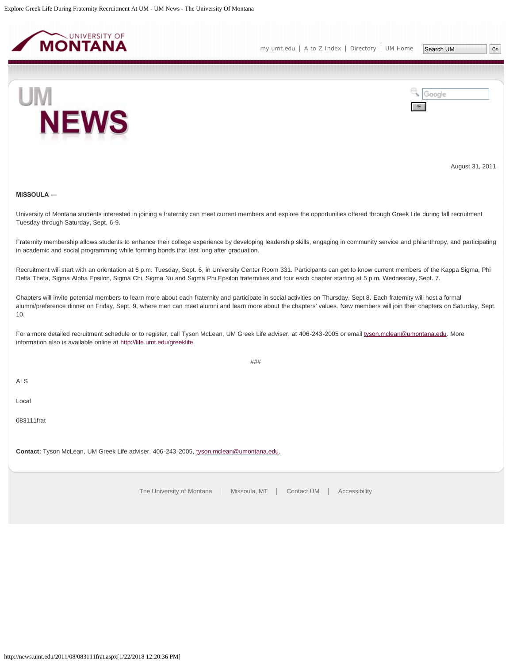<span id="page-7-0"></span>



August 31, 2011

# **MISSOULA ―**

University of Montana students interested in joining a fraternity can meet current members and explore the opportunities offered through Greek Life during fall recruitment Tuesday through Saturday, Sept. 6-9.

Fraternity membership allows students to enhance their college experience by developing leadership skills, engaging in community service and philanthropy, and participating in academic and social programming while forming bonds that last long after graduation.

Recruitment will start with an orientation at 6 p.m. Tuesday, Sept. 6, in University Center Room 331. Participants can get to know current members of the Kappa Sigma, Phi Delta Theta, Sigma Alpha Epsilon, Sigma Chi, Sigma Nu and Sigma Phi Epsilon fraternities and tour each chapter starting at 5 p.m. Wednesday, Sept. 7.

Chapters will invite potential members to learn more about each fraternity and participate in social activities on Thursday, Sept 8. Each fraternity will host a formal alumni/preference dinner on Friday, Sept. 9, where men can meet alumni and learn more about the chapters' values. New members will join their chapters on Saturday, Sept. 10.

###

For a more detailed recruitment schedule or to register, call Tyson McLean, UM Greek Life adviser, at 406-243-2005 or email [tyson.mclean@umontana.edu.](mailto:tyson.mclean@umontana.edu) More information also is available online at [http://life.umt.edu/greeklife.](http://life.umt.edu/greeklife)

ALS

Local

083111frat

**Contact:** Tyson McLean, UM Greek Life adviser, 406-243-2005, [tyson.mclean@umontana.edu.](mailto:tyson.mclean@umontana.edu)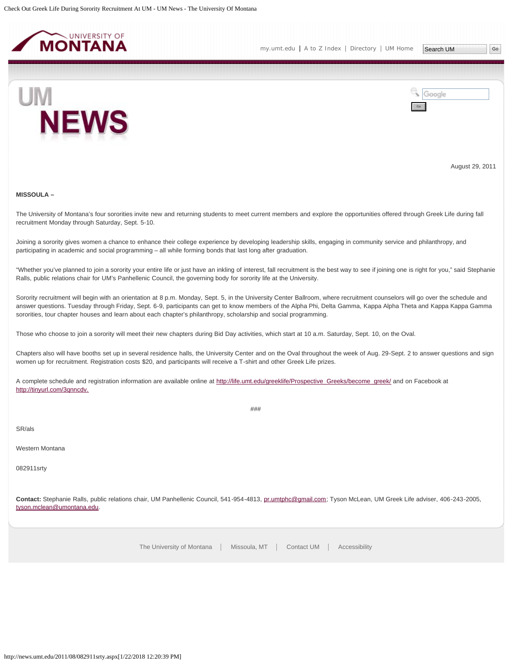<span id="page-8-0"></span>



August 29, 2011

#### **MISSOULA –**

The University of Montana's four sororities invite new and returning students to meet current members and explore the opportunities offered through Greek Life during fall recruitment Monday through Saturday, Sept. 5-10.

Joining a sorority gives women a chance to enhance their college experience by developing leadership skills, engaging in community service and philanthropy, and participating in academic and social programming – all while forming bonds that last long after graduation.

"Whether you've planned to join a sorority your entire life or just have an inkling of interest, fall recruitment is the best way to see if joining one is right for you," said Stephanie Ralls, public relations chair for UM's Panhellenic Council, the governing body for sorority life at the University.

Sorority recruitment will begin with an orientation at 8 p.m. Monday, Sept. 5, in the University Center Ballroom, where recruitment counselors will go over the schedule and answer questions. Tuesday through Friday, Sept. 6-9, participants can get to know members of the Alpha Phi, Delta Gamma, Kappa Alpha Theta and Kappa Kappa Gamma sororities, tour chapter houses and learn about each chapter's philanthropy, scholarship and social programming.

Those who choose to join a sorority will meet their new chapters during Bid Day activities, which start at 10 a.m. Saturday, Sept. 10, on the Oval.

Chapters also will have booths set up in several residence halls, the University Center and on the Oval throughout the week of Aug. 29-Sept. 2 to answer questions and sign women up for recruitment. Registration costs \$20, and participants will receive a T-shirt and other Greek Life prizes.

A complete schedule and registration information are available online at [http://life.umt.edu/greeklife/Prospective\\_Greeks/become\\_greek/](http://life.umt.edu/greeklife/Prospective_Greeks/become_greek/) and on Facebook at [http://tinyurl.com/3qnncdv.](http://tinyurl.com/3qnncdv)

###

# SR/als

Western Montana

082911srty

**Contact:** Stephanie Ralls, public relations chair, UM Panhellenic Council, 541-954-4813, [pr.umtphc@gmail.com;](mailto:pr.umtphc@gmail.com) Tyson McLean, UM Greek Life adviser, 406-243-2005, [tyson.mclean@umontana.edu.](mailto:tyson.mclean@umontana.edu)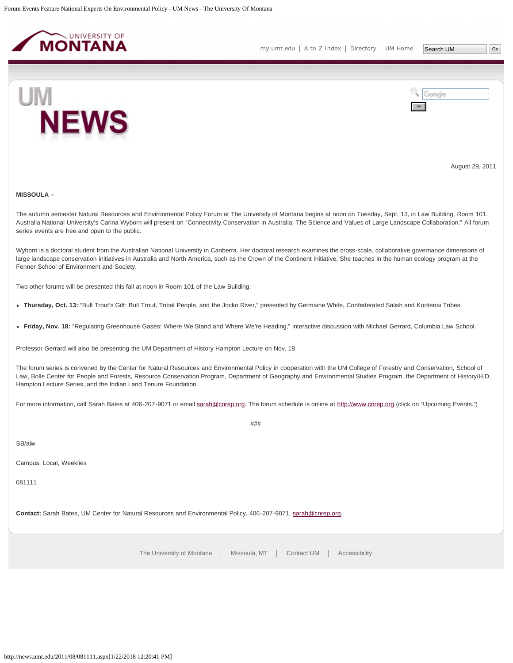<span id="page-9-0"></span>



August 29, 2011

#### **MISSOULA –**

The autumn semester Natural Resources and Environmental Policy Forum at The University of Montana begins at noon on Tuesday, Sept. 13, in Law Building, Room 101. Australia National University's Carina Wyborn will present on "Connectivity Conservation in Australia: The Science and Values of Large Landscape Collaboration." All forum series events are free and open to the public.

Wyborn is a doctoral student from the Australian National University in Canberra. Her doctoral research examines the cross-scale, collaborative governance dimensions of large landscape conservation initiatives in Australia and North America, such as the Crown of the Continent Initiative. She teaches in the human ecology program at the Fenner School of Environment and Society.

Two other forums will be presented this fall at noon in Room 101 of the Law Building:

- **Thursday, Oct. 13:** "Bull Trout's Gift: Bull Trout, Tribal People, and the Jocko River," presented by Germaine White, Confederated Salish and Kootenai Tribes.
- **Friday, Nov. 18:** "Regulating Greenhouse Gases: Where We Stand and Where We're Heading," interactive discussion with Michael Gerrard, Columbia Law School.

Professor Gerrard will also be presenting the UM Department of History Hampton Lecture on Nov. 18.

The forum series is convened by the Center for Natural Resources and Environmental Policy in cooperation with the UM College of Forestry and Conservation, School of Law, Bolle Center for People and Forests, Resource Conservation Program, Department of Geography and Environmental Studies Program, the Department of History/H.D. Hampton Lecture Series, and the Indian Land Tenure Foundation.

###

For more information, call Sarah Bates at 406-207-9071 or email [sarah@cnrep.org](mailto:sarah@cnrep.org). The forum schedule is online at [http://www.cnrep.org](http://www.cnrep.org/) (click on "Upcoming Events.")

SB/alw

Campus, Local, Weeklies

081111

**Contact:** Sarah Bates, UM Center for Natural Resources and Environmental Policy, 406-207-9071, [sarah@cnrep.org.](mailto:sarah@cnrep.org)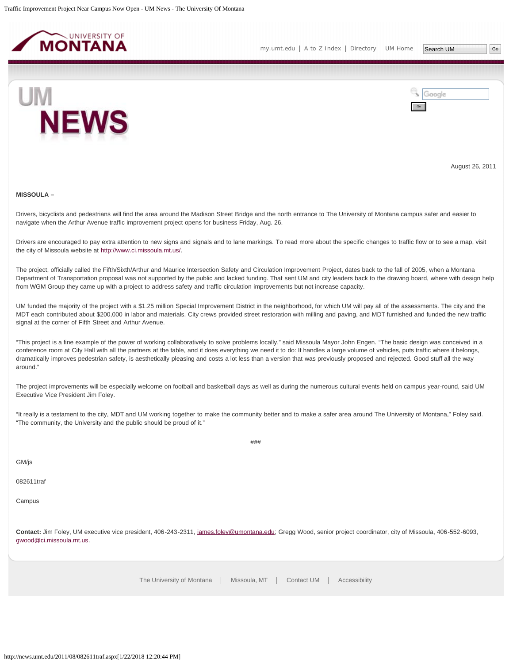<span id="page-10-0"></span>



August 26, 2011

#### **MISSOULA –**

Drivers, bicyclists and pedestrians will find the area around the Madison Street Bridge and the north entrance to The University of Montana campus safer and easier to navigate when the Arthur Avenue traffic improvement project opens for business Friday, Aug. 26.

Drivers are encouraged to pay extra attention to new signs and signals and to lane markings. To read more about the specific changes to traffic flow or to see a map, visit the city of Missoula website at [http://www.ci.missoula.mt.us/.](http://www.ci.missoula.mt.us/)

The project, officially called the Fifth/Sixth/Arthur and Maurice Intersection Safety and Circulation Improvement Project, dates back to the fall of 2005, when a Montana Department of Transportation proposal was not supported by the public and lacked funding. That sent UM and city leaders back to the drawing board, where with design help from WGM Group they came up with a project to address safety and traffic circulation improvements but not increase capacity.

UM funded the majority of the project with a \$1.25 million Special Improvement District in the neighborhood, for which UM will pay all of the assessments. The city and the MDT each contributed about \$200,000 in labor and materials. City crews provided street restoration with milling and paving, and MDT furnished and funded the new traffic signal at the corner of Fifth Street and Arthur Avenue.

"This project is a fine example of the power of working collaboratively to solve problems locally," said Missoula Mayor John Engen. "The basic design was conceived in a conference room at City Hall with all the partners at the table, and it does everything we need it to do: It handles a large volume of vehicles, puts traffic where it belongs, dramatically improves pedestrian safety, is aesthetically pleasing and costs a lot less than a version that was previously proposed and rejected. Good stuff all the way around."

The project improvements will be especially welcome on football and basketball days as well as during the numerous cultural events held on campus year-round, said UM Executive Vice President Jim Foley.

"It really is a testament to the city, MDT and UM working together to make the community better and to make a safer area around The University of Montana," Foley said. "The community, the University and the public should be proud of it."

###

GM/js

082611traf

Campus

**Contact:** Jim Foley, UM executive vice president, 406-243-2311, [james.foley@umontana.edu](mailto:james.foley@umontana.edu); Gregg Wood, senior project coordinator, city of Missoula, 406-552-6093, [gwood@ci.missoula.mt.us](mailto:gwood@ci.missoula.mt.us).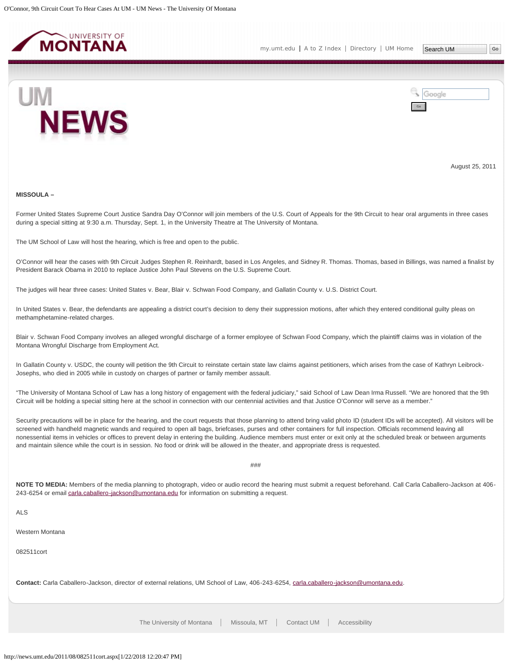<span id="page-11-0"></span>



August 25, 2011

#### **MISSOULA –**

Former United States Supreme Court Justice Sandra Day O'Connor will join members of the U.S. Court of Appeals for the 9th Circuit to hear oral arguments in three cases during a special sitting at 9:30 a.m. Thursday, Sept. 1, in the University Theatre at The University of Montana.

The UM School of Law will host the hearing, which is free and open to the public.

O'Connor will hear the cases with 9th Circuit Judges Stephen R. Reinhardt, based in Los Angeles, and Sidney R. Thomas. Thomas, based in Billings, was named a finalist by President Barack Obama in 2010 to replace Justice John Paul Stevens on the U.S. Supreme Court.

The judges will hear three cases: United States v. Bear, Blair v. Schwan Food Company, and Gallatin County v. U.S. District Court.

In United States v. Bear, the defendants are appealing a district court's decision to deny their suppression motions, after which they entered conditional guilty pleas on methamphetamine-related charges.

Blair v. Schwan Food Company involves an alleged wrongful discharge of a former employee of Schwan Food Company, which the plaintiff claims was in violation of the Montana Wrongful Discharge from Employment Act.

In Gallatin County v. USDC, the county will petition the 9th Circuit to reinstate certain state law claims against petitioners, which arises from the case of Kathryn Leibrock-Josephs, who died in 2005 while in custody on charges of partner or family member assault.

"The University of Montana School of Law has a long history of engagement with the federal judiciary," said School of Law Dean Irma Russell. "We are honored that the 9th Circuit will be holding a special sitting here at the school in connection with our centennial activities and that Justice O'Connor will serve as a member."

Security precautions will be in place for the hearing, and the court requests that those planning to attend bring valid photo ID (student IDs will be accepted). All visitors will be screened with handheld magnetic wands and required to open all bags, briefcases, purses and other containers for full inspection. Officials recommend leaving all nonessential items in vehicles or offices to prevent delay in entering the building. Audience members must enter or exit only at the scheduled break or between arguments and maintain silence while the court is in session. No food or drink will be allowed in the theater, and appropriate dress is requested.

###

**NOTE TO MEDIA:** Members of the media planning to photograph, video or audio record the hearing must submit a request beforehand. Call Carla Caballero-Jackson at 406 243-6254 or email [carla.caballero-jackson@umontana.edu](mailto:carla.caballero-jackson@umontana.edu) for information on submitting a request.

ALS

Western Montana

082511cort

**Contact:** Carla Caballero-Jackson, director of external relations, UM School of Law, 406-243-6254, [carla.caballero-jackson@umontana.edu.](mailto:carla.caballero-jackson@umontana.edu)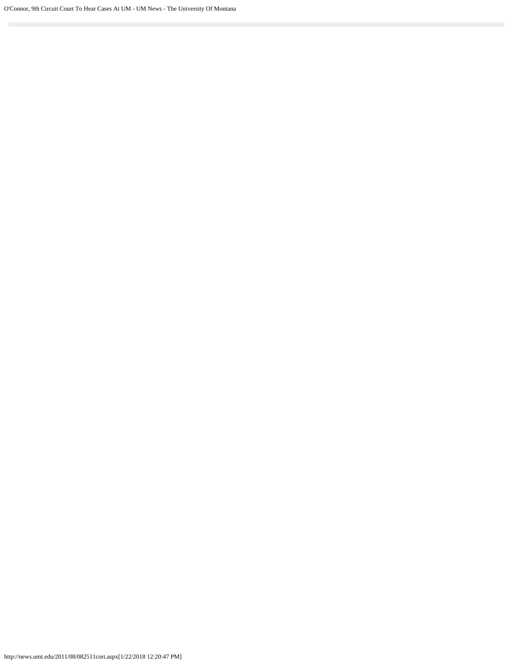O'Connor, 9th Circuit Court To Hear Cases At UM - UM News - The University Of Montana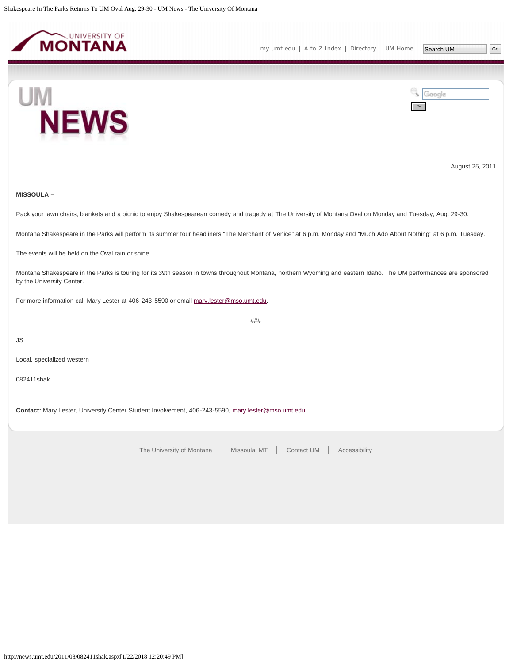<span id="page-13-0"></span>



August 25, 2011

# **MISSOULA –**

UM

Pack your lawn chairs, blankets and a picnic to enjoy Shakespearean comedy and tragedy at The University of Montana Oval on Monday and Tuesday, Aug. 29-30.

Montana Shakespeare in the Parks will perform its summer tour headliners "The Merchant of Venice" at 6 p.m. Monday and "Much Ado About Nothing" at 6 p.m. Tuesday.

The events will be held on the Oval rain or shine.

**NEWS** 

Montana Shakespeare in the Parks is touring for its 39th season in towns throughout Montana, northern Wyoming and eastern Idaho. The UM performances are sponsored by the University Center.

###

For more information call Mary Lester at 406-243-5590 or email [mary.lester@mso.umt.edu](mailto:mary.lester@mso.umt.edu).

JS

Local, specialized western

082411shak

**Contact:** Mary Lester, University Center Student Involvement, 406-243-5590, [mary.lester@mso.umt.edu.](mailto:mary.lester@mso.umt.edu)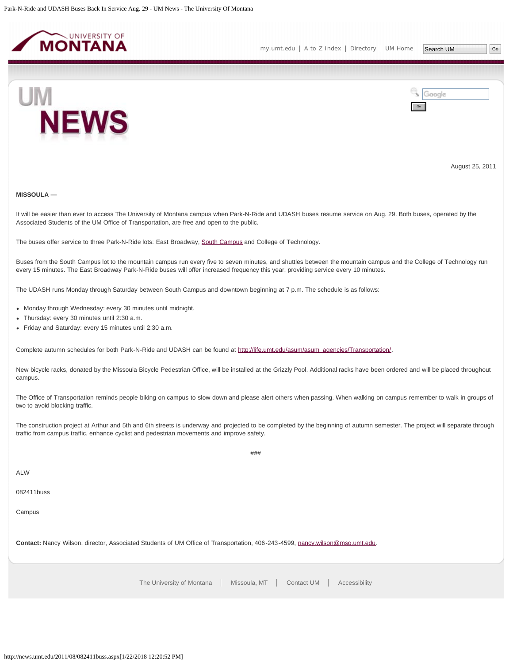<span id="page-14-0"></span>



August 25, 2011

# **MISSOULA —**

It will be easier than ever to access The University of Montana campus when Park-N-Ride and UDASH buses resume service on Aug. 29. Both buses, operated by the Associated Students of the UM Office of Transportation, are free and open to the public.

The buses offer service to three Park-N-Ride lots: East Broadway, [South Campus](http://life.umt.edu/asum/asum%5Fagencies/Transportation/bus/parknride_udash/south_park_n_ride.php) and College of Technology.

Buses from the South Campus lot to the mountain campus run every five to seven minutes, and shuttles between the mountain campus and the College of Technology run every 15 minutes. The East Broadway Park-N-Ride buses will offer increased frequency this year, providing service every 10 minutes.

The UDASH runs Monday through Saturday between South Campus and downtown beginning at 7 p.m. The schedule is as follows:

- Monday through Wednesday: every 30 minutes until midnight.
- Thursday: every 30 minutes until 2:30 a.m.
- Friday and Saturday: every 15 minutes until 2:30 a.m.

Complete autumn schedules for both Park-N-Ride and UDASH can be found at [http://life.umt.edu/asum/asum\\_agencies/Transportation/](http://life.umt.edu/asum/asum_agencies/Transportation/).

New bicycle racks, donated by the Missoula Bicycle Pedestrian Office, will be installed at the Grizzly Pool. Additional racks have been ordered and will be placed throughout campus.

The Office of Transportation reminds people biking on campus to slow down and please alert others when passing. When walking on campus remember to walk in groups of two to avoid blocking traffic.

The construction project at Arthur and 5th and 6th streets is underway and projected to be completed by the beginning of autumn semester. The project will separate through traffic from campus traffic, enhance cyclist and pedestrian movements and improve safety.

###

ALW

082411buss

Campus

**Contact:** Nancy Wilson, director, Associated Students of UM Office of Transportation, 406-243-4599, [nancy.wilson@mso.umt.edu.](mailto:nancy.wilson@mso.umt.edu)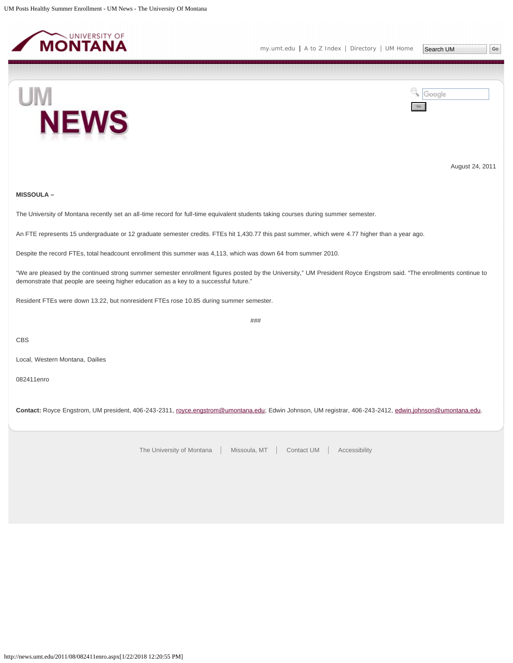<span id="page-15-0"></span>

Go

Google



August 24, 2011

# **MISSOULA –**

The University of Montana recently set an all-time record for full-time equivalent students taking courses during summer semester.

An FTE represents 15 undergraduate or 12 graduate semester credits. FTEs hit 1,430.77 this past summer, which were 4.77 higher than a year ago.

Despite the record FTEs, total headcount enrollment this summer was 4,113, which was down 64 from summer 2010.

"We are pleased by the continued strong summer semester enrollment figures posted by the University," UM President Royce Engstrom said. "The enrollments continue to demonstrate that people are seeing higher education as a key to a successful future."

###

Resident FTEs were down 13.22, but nonresident FTEs rose 10.85 during summer semester.

CBS

Local, Western Montana, Dailies

082411enro

**Contact:** Royce Engstrom, UM president, 406-243-2311, [royce.engstrom@umontana.edu](mailto:royce.engstrom@umontana.edu); Edwin Johnson, UM registrar, 406-243-2412, [edwin.johnson@umontana.edu](mailto:edwin.johnson@umontana.edu).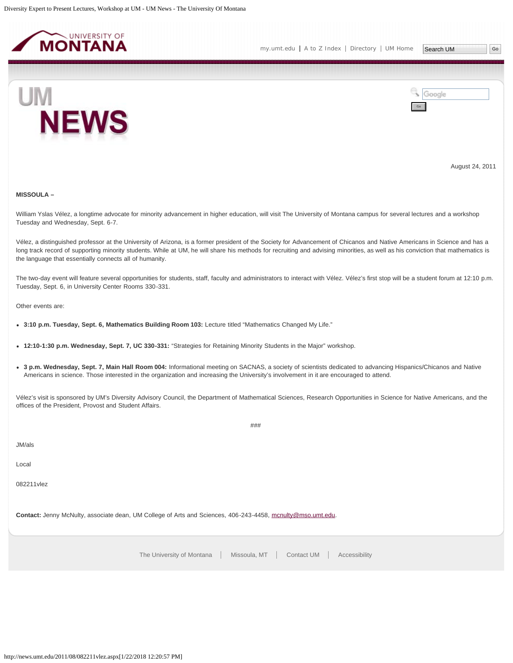<span id="page-16-0"></span>



Go

Google

August 24, 2011

# **MISSOULA –**

William Yslas Vélez, a longtime advocate for minority advancement in higher education, will visit The University of Montana campus for several lectures and a workshop Tuesday and Wednesday, Sept. 6-7.

Vélez, a distinguished professor at the University of Arizona, is a former president of the Society for Advancement of Chicanos and Native Americans in Science and has a long track record of supporting minority students. While at UM, he will share his methods for recruiting and advising minorities, as well as his conviction that mathematics is the language that essentially connects all of humanity.

The two-day event will feature several opportunities for students, staff, faculty and administrators to interact with Vélez. Vélez's first stop will be a student forum at 12:10 p.m. Tuesday, Sept. 6, in University Center Rooms 330-331.

Other events are:

- **3:10 p.m. Tuesday, Sept. 6, Mathematics Building Room 103:** Lecture titled "Mathematics Changed My Life."
- **12:10-1:30 p.m. Wednesday, Sept. 7, UC 330-331:** "Strategies for Retaining Minority Students in the Major" workshop.
- **3 p.m. Wednesday, Sept. 7, Main Hall Room 004:** Informational meeting on SACNAS, a society of scientists dedicated to advancing Hispanics/Chicanos and Native Americans in science. Those interested in the organization and increasing the University's involvement in it are encouraged to attend.

Vélez's visit is sponsored by UM's Diversity Advisory Council, the Department of Mathematical Sciences, Research Opportunities in Science for Native Americans, and the offices of the President, Provost and Student Affairs.

###

JM/als

Local

082211vlez

Contact: Jenny McNulty, associate dean, UM College of Arts and Sciences, 406-243-4458, [mcnulty@mso.umt.edu](mailto:mcnulty@mso.umt.edu).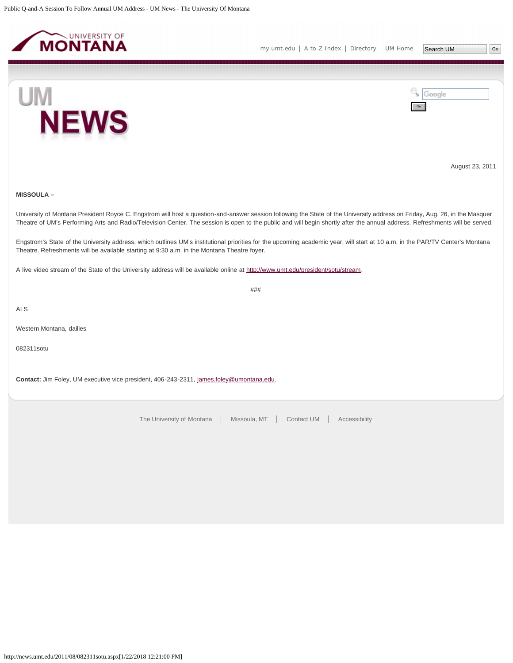<span id="page-17-0"></span>



August 23, 2011

# **MISSOULA –**

University of Montana President Royce C. Engstrom will host a question-and-answer session following the State of the University address on Friday, Aug. 26, in the Masquer Theatre of UM's Performing Arts and Radio/Television Center. The session is open to the public and will begin shortly after the annual address. Refreshments will be served.

Engstrom's State of the University address, which outlines UM's institutional priorities for the upcoming academic year, will start at 10 a.m. in the PAR/TV Center's Montana Theatre. Refreshments will be available starting at 9:30 a.m. in the Montana Theatre foyer.

###

A live video stream of the State of the University address will be available online at<http://www.umt.edu/president/sotu/stream>.

ALS

Western Montana, dailies

082311sotu

**Contact:** Jim Foley, UM executive vice president, 406-243-2311, [james.foley@umontana.edu](mailto:james.foley@umontana.edu).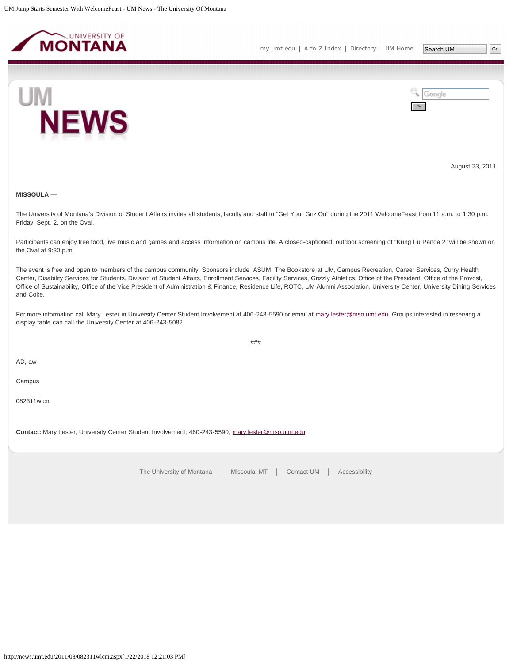<span id="page-18-0"></span>



August 23, 2011

# **MISSOULA —**

The University of Montana's Division of Student Affairs invites all students, faculty and staff to "Get Your Griz On" during the 2011 WelcomeFeast from 11 a.m. to 1:30 p.m. Friday, Sept. 2, on the Oval.

Participants can enjoy free food, live music and games and access information on campus life. A closed-captioned, outdoor screening of "Kung Fu Panda 2" will be shown on the Oval at 9:30 p.m.

The event is free and open to members of the campus community. Sponsors include ASUM, The Bookstore at UM, Campus Recreation, Career Services, Curry Health Center, Disability Services for Students, Division of Student Affairs, Enrollment Services, Facility Services, Grizzly Athletics, Office of the President, Office of the Provost, Office of Sustainability, Office of the Vice President of Administration & Finance, Residence Life, ROTC, UM Alumni Association, University Center, University Dining Services and Coke.

For more information call Mary Lester in University Center Student Involvement at 406-243-5590 or email at [mary.lester@mso.umt.edu.](mailto:mary.lester@mso.umt.edu) Groups interested in reserving a display table can call the University Center at 406-243-5082.

###

AD, aw

Campus

082311wlcm

**Contact:** Mary Lester, University Center Student Involvement, 460-243-5590, [mary.lester@mso.umt.edu.](mailto:mary.lester@mso.umt.edu)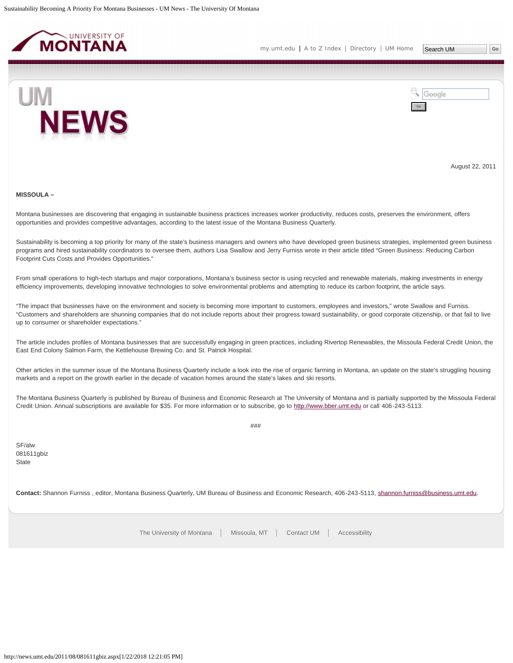<span id="page-19-0"></span>



August 22, 2011

#### **MISSOULA –**

Montana businesses are discovering that engaging in sustainable business practices increases worker productivity, reduces costs, preserves the environment, offers opportunities and provides competitive advantages, according to the latest issue of the Montana Business Quarterly.

Sustainability is becoming a top priority for many of the state's business managers and owners who have developed green business strategies, implemented green business programs and hired sustainability coordinators to oversee them, authors Lisa Swallow and Jerry Furniss wrote in their article titled "Green Business: Reducing Carbon Footprint Cuts Costs and Provides Opportunities."

From small operations to high-tech startups and major corporations, Montana's business sector is using recycled and renewable materials, making investments in energy efficiency improvements, developing innovative technologies to solve environmental problems and attempting to reduce its carbon footprint, the article says.

"The impact that businesses have on the environment and society is becoming more important to customers, employees and investors," wrote Swallow and Furniss. "Customers and shareholders are shunning companies that do not include reports about their progress toward sustainability, or good corporate citizenship, or that fail to live up to consumer or shareholder expectations."

The article includes profiles of Montana businesses that are successfully engaging in green practices, including Rivertop Renewables, the Missoula Federal Credit Union, the East End Colony Salmon Farm, the Kettlehouse Brewing Co. and St. Patrick Hospital.

Other articles in the summer issue of the Montana Business Quarterly include a look into the rise of organic farming in Montana, an update on the state's struggling housing markets and a report on the growth earlier in the decade of vacation homes around the state's lakes and ski resorts.

The Montana Business Quarterly is published by Bureau of Business and Economic Research at The University of Montana and is partially supported by the Missoula Federal Credit Union. Annual subscriptions are available for \$35. For more information or to subscribe, go to [http://www.bber.umt.edu](http://www.bber.umt.edu/) or call 406-243-5113.

###

SF/alw 081611abiz **State** 

**Contact:** Shannon Furniss , editor, Montana Business Quarterly, UM Bureau of Business and Economic Research, 406-243-5113, [shannon.furniss@business.umt.edu](mailto:shannon.furniss@business.umt.edu).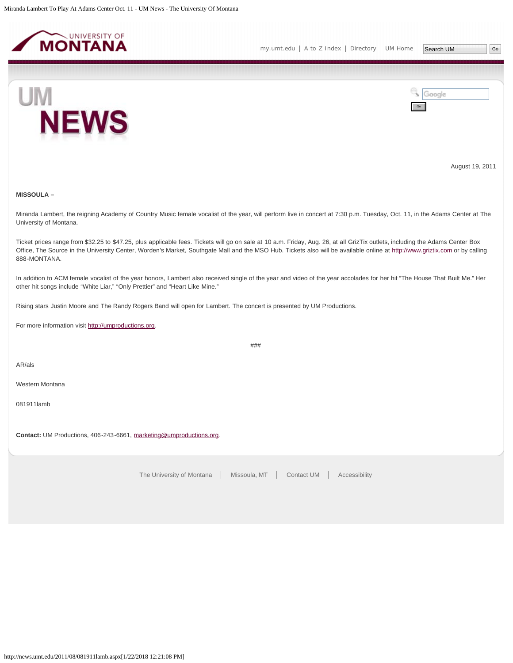<span id="page-20-0"></span>



August 19, 2011

# **MISSOULA –**

Miranda Lambert, the reigning Academy of Country Music female vocalist of the year, will perform live in concert at 7:30 p.m. Tuesday, Oct. 11, in the Adams Center at The University of Montana.

Ticket prices range from \$32.25 to \$47.25, plus applicable fees. Tickets will go on sale at 10 a.m. Friday, Aug. 26, at all GrizTix outlets, including the Adams Center Box Office, The Source in the University Center, Worden's Market, Southgate Mall and the MSO Hub. Tickets also will be available online at [http://www.griztix.com](http://www.griztix.com/) or by calling 888-MONTANA.

In addition to ACM female vocalist of the year honors, Lambert also received single of the year and video of the year accolades for her hit "The House That Built Me." Her other hit songs include "White Liar," "Only Prettier" and "Heart Like Mine."

Rising stars Justin Moore and The Randy Rogers Band will open for Lambert. The concert is presented by UM Productions.

For more information visit [http://umproductions.org](http://umproductions.org/).

###

AR/als

Western Montana

081911lamb

**Contact:** UM Productions, 406-243-6661, [marketing@umproductions.org.](mailto:marketing@umproductions.org)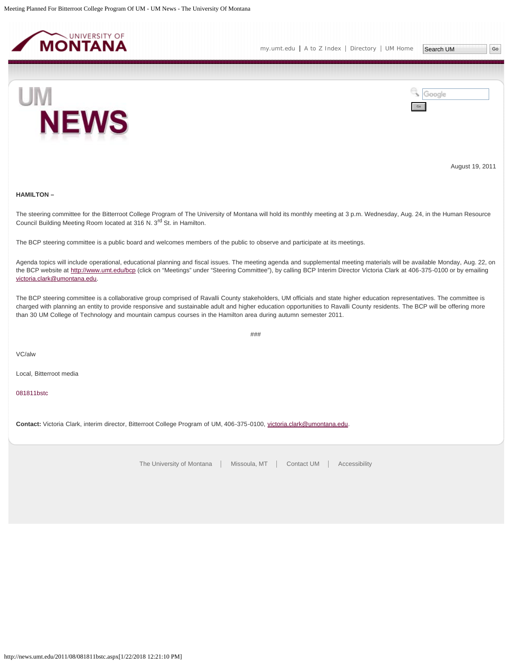<span id="page-21-0"></span>

[my.umt.edu](http://my.umt.edu/) | [A to Z Index](http://www.umt.edu/search/atoz/) | [Directory](http://www.umt.edu/directory/) | [UM Home](http://www.umt.edu/)



Google Go

August 19, 2011

# **HAMILTON –**

The steering committee for the Bitterroot College Program of The University of Montana will hold its monthly meeting at 3 p.m. Wednesday, Aug. 24, in the Human Resource Council Building Meeting Room located at 316 N. 3<sup>rd</sup> St. in Hamilton.

The BCP steering committee is a public board and welcomes members of the public to observe and participate at its meetings.

Agenda topics will include operational, educational planning and fiscal issues. The meeting agenda and supplemental meeting materials will be available Monday, Aug. 22, on the BCP website at <http://www.umt.edu/bcp>(click on "Meetings" under "Steering Committee"), by calling BCP Interim Director Victoria Clark at 406-375-0100 or by emailing [victoria.clark@umontana.edu](mailto:victoria.clark@umontana.edu).

The BCP steering committee is a collaborative group comprised of Ravalli County stakeholders, UM officials and state higher education representatives. The committee is charged with planning an entity to provide responsive and sustainable adult and higher education opportunities to Ravalli County residents. The BCP will be offering more than 30 UM College of Technology and mountain campus courses in the Hamilton area during autumn semester 2011.

###

VC/alw

Local, Bitterroot media

#### 081811bstc

**Contact:** Victoria Clark, interim director, Bitterroot College Program of UM, 406-375-0100, [victoria.clark@umontana.edu](mailto:victoria.clark@umontana.edu).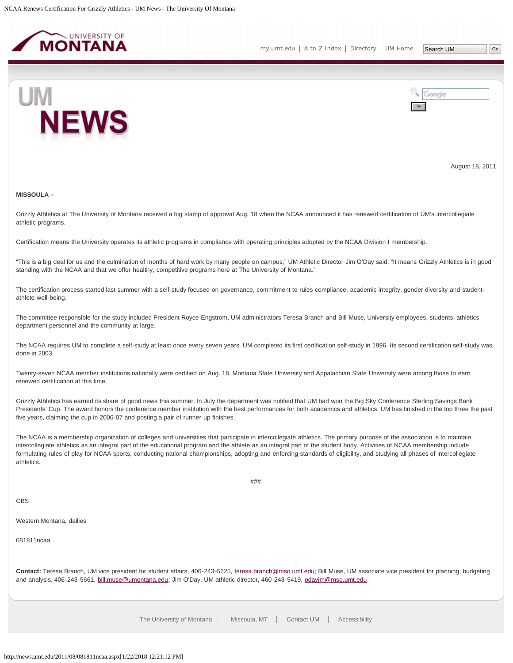<span id="page-22-0"></span>



August 18, 2011

#### **MISSOULA –**

Grizzly Athletics at The University of Montana received a big stamp of approval Aug. 18 when the NCAA announced it has renewed certification of UM's intercollegiate athletic programs.

Certification means the University operates its athletic programs in compliance with operating principles adopted by the NCAA Division I membership.

"This is a big deal for us and the culmination of months of hard work by many people on campus," UM Athletic Director Jim O'Day said. "It means Grizzly Athletics is in good standing with the NCAA and that we offer healthy, competitive programs here at The University of Montana."

The certification process started last summer with a self-study focused on governance, commitment to rules compliance, academic integrity, gender diversity and studentathlete well-being.

The committee responsible for the study included President Royce Engstrom, UM administrators Teresa Branch and Bill Muse, University employees, students, athletics department personnel and the community at large.

The NCAA requires UM to complete a self-study at least once every seven years. UM completed its first certification self-study in 1996. Its second certification self-study was done in 2003.

Twenty-seven NCAA member institutions nationally were certified on Aug. 18. Montana State University and Appalachian State University were among those to earn renewed certification at this time.

Grizzly Athletics has earned its share of good news this summer. In July the department was notified that UM had won the Big Sky Conference Sterling Savings Bank Presidents' Cup. The award honors the conference member institution with the best performances for both academics and athletics. UM has finished in the top three the past five years, claiming the cup in 2006-07 and posting a pair of runner-up finishes.

The NCAA is a membership organization of colleges and universities that participate in intercollegiate athletics. The primary purpose of the association is to maintain intercollegiate athletics as an integral part of the educational program and the athlete as an integral part of the student body. Activities of NCAA membership include formulating rules of play for NCAA sports, conducting national championships, adopting and enforcing standards of eligibility, and studying all phases of intercollegiate athletics.

###

#### CBS

Western Montana, dailies

081811ncaa

**Contact:** Teresa Branch, UM vice president for student affairs, 406-243-5225, [teresa.branch@mso.umt.edu;](mailto:teresa.branch@mso.umt.edu) Bill Muse, UM associate vice president for planning, budgeting and analysis, 406-243-5661, [bill.muse@umontana.edu](mailto:bill.muse@umontana.edu); Jim O'Day, UM athletic director, 460-243-5419, [odayjm@mso.umt.edu.](mailto:odayjm@mso.umt.edu)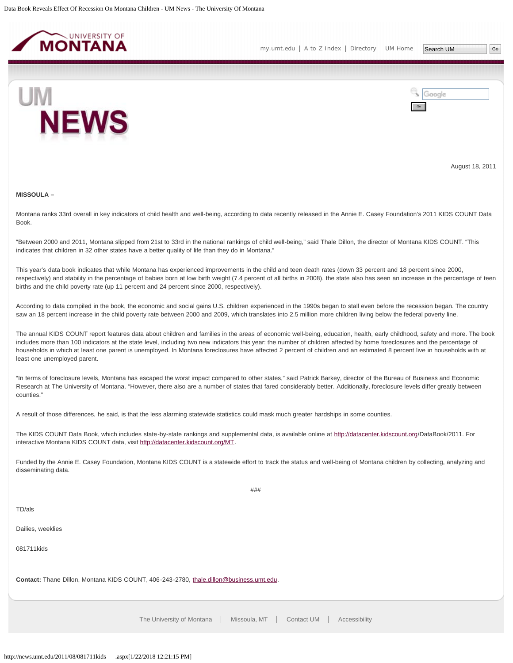<span id="page-24-0"></span>



August 18, 2011

#### **MISSOULA –**

Montana ranks 33rd overall in key indicators of child health and well-being, according to data recently released in the Annie E. Casey Foundation's 2011 KIDS COUNT Data Book.

"Between 2000 and 2011, Montana slipped from 21st to 33rd in the national rankings of child well-being," said Thale Dillon, the director of Montana KIDS COUNT. "This indicates that children in 32 other states have a better quality of life than they do in Montana."

This year's data book indicates that while Montana has experienced improvements in the child and teen death rates (down 33 percent and 18 percent since 2000, respectively) and stability in the percentage of babies born at low birth weight (7.4 percent of all births in 2008), the state also has seen an increase in the percentage of teen births and the child poverty rate (up 11 percent and 24 percent since 2000, respectively).

According to data compiled in the book, the economic and social gains U.S. children experienced in the 1990s began to stall even before the recession began. The country saw an 18 percent increase in the child poverty rate between 2000 and 2009, which translates into 2.5 million more children living below the federal poverty line.

The annual KIDS COUNT report features data about children and families in the areas of economic well-being, education, health, early childhood, safety and more. The book includes more than 100 indicators at the state level, including two new indicators this year: the number of children affected by home foreclosures and the percentage of households in which at least one parent is unemployed. In Montana foreclosures have affected 2 percent of children and an estimated 8 percent live in households with at least one unemployed parent.

"In terms of foreclosure levels, Montana has escaped the worst impact compared to other states," said Patrick Barkey, director of the Bureau of Business and Economic Research at The University of Montana. "However, there also are a number of states that fared considerably better. Additionally, foreclosure levels differ greatly between counties."

A result of those differences, he said, is that the less alarming statewide statistics could mask much greater hardships in some counties.

The KIDS COUNT Data Book, which includes state-by-state rankings and supplemental data, is available online at<http://datacenter.kidscount.org/>DataBook/2011. For interactive Montana KIDS COUNT data, visit [http://datacenter.kidscount.org/MT.](http://datacenter.kidscount.org/MT)

Funded by the Annie E. Casey Foundation, Montana KIDS COUNT is a statewide effort to track the status and well-being of Montana children by collecting, analyzing and disseminating data.

###

TD/als

Dailies, weeklies

081711kids

**Contact:** Thane Dillon, Montana KIDS COUNT, 406-243-2780, [thale.dillon@business.umt.edu](mailto:thale.dillon@business.umt.edu).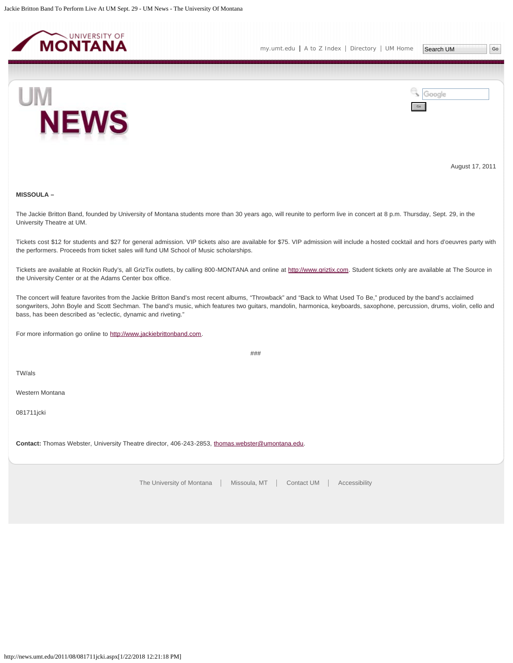<span id="page-26-0"></span>



August 17, 2011

# **MISSOULA –**

The Jackie Britton Band, founded by University of Montana students more than 30 years ago, will reunite to perform live in concert at 8 p.m. Thursday, Sept. 29, in the University Theatre at UM.

Tickets cost \$12 for students and \$27 for general admission. VIP tickets also are available for \$75. VIP admission will include a hosted cocktail and hors d'oeuvres party with the performers. Proceeds from ticket sales will fund UM School of Music scholarships.

Tickets are available at Rockin Rudy's, all GrizTix outlets, by calling 800-MONTANA and online at [http://www.griztix.com](http://www.griztix.com/). Student tickets only are available at The Source in the University Center or at the Adams Center box office.

The concert will feature favorites from the Jackie Britton Band's most recent albums, "Throwback" and "Back to What Used To Be," produced by the band's acclaimed songwriters, John Boyle and Scott Sechman. The band's music, which features two guitars, mandolin, harmonica, keyboards, saxophone, percussion, drums, violin, cello and bass, has been described as "eclectic, dynamic and riveting."

For more information go online to [http://www.jackiebrittonband.com](http://www.jackiebrittonband.com/).

###

TW/als

Western Montana

081711jcki

**Contact:** Thomas Webster, University Theatre director, 406-243-2853, [thomas.webster@umontana.edu](mailto: thomas.webster@umontana.edu).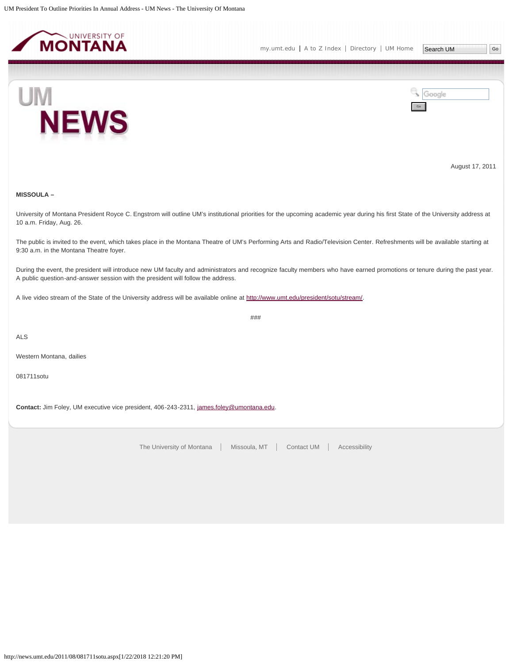<span id="page-27-0"></span>



August 17, 2011

# **MISSOULA –**

University of Montana President Royce C. Engstrom will outline UM's institutional priorities for the upcoming academic year during his first State of the University address at 10 a.m. Friday, Aug. 26.

The public is invited to the event, which takes place in the Montana Theatre of UM's Performing Arts and Radio/Television Center. Refreshments will be available starting at 9:30 a.m. in the Montana Theatre foyer.

During the event, the president will introduce new UM faculty and administrators and recognize faculty members who have earned promotions or tenure during the past year. A public question-and-answer session with the president will follow the address.

A live video stream of the State of the University address will be available online at [http://www.umt.edu/president/sotu/stream/.](http://www.umt.edu/president/sotu/stream/)

###

ALS

Western Montana, dailies

081711sotu

Contact: Jim Foley, UM executive vice president, 406-243-2311, [james.foley@umontana.edu](mailto:james.foley@umontana.edu).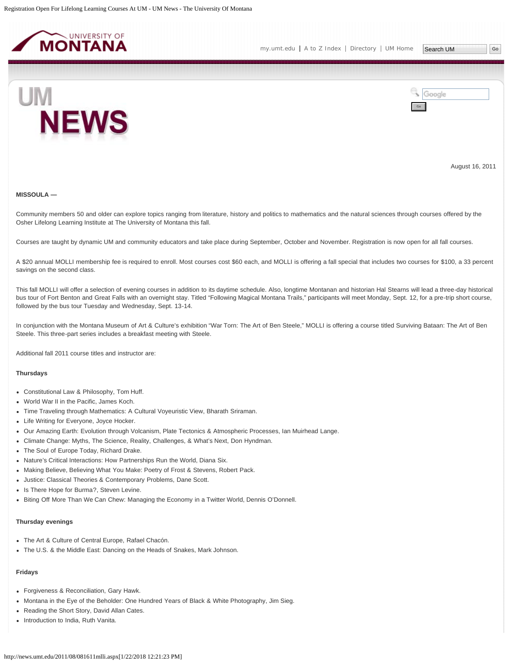<span id="page-28-0"></span>



August 16, 2011

#### **MISSOULA —**

Community members 50 and older can explore topics ranging from literature, history and politics to mathematics and the natural sciences through courses offered by the Osher Lifelong Learning Institute at The University of Montana this fall.

Courses are taught by dynamic UM and community educators and take place during September, October and November. Registration is now open for all fall courses.

A \$20 annual MOLLI membership fee is required to enroll. Most courses cost \$60 each, and MOLLI is offering a fall special that includes two courses for \$100, a 33 percent savings on the second class.

This fall MOLLI will offer a selection of evening courses in addition to its daytime schedule. Also, longtime Montanan and historian Hal Stearns will lead a three-day historical bus tour of Fort Benton and Great Falls with an overnight stay. Titled "Following Magical Montana Trails," participants will meet Monday, Sept. 12, for a pre-trip short course, followed by the bus tour Tuesday and Wednesday, Sept. 13-14.

In conjunction with the Montana Museum of Art & Culture's exhibition "War Torn: The Art of Ben Steele," MOLLI is offering a course titled Surviving Bataan: The Art of Ben Steele. This three-part series includes a breakfast meeting with Steele.

Additional fall 2011 course titles and instructor are:

# **Thursdays**

- Constitutional Law & Philosophy, Tom Huff.
- World War II in the Pacific, James Koch.
- Time Traveling through Mathematics: A Cultural Voyeuristic View, Bharath Sriraman.
- Life Writing for Everyone, Joyce Hocker.
- Our Amazing Earth: Evolution through Volcanism, Plate Tectonics & Atmospheric Processes, Ian Muirhead Lange.
- Climate Change: Myths, The Science, Reality, Challenges, & What's Next, Don Hyndman.
- The Soul of Europe Today, Richard Drake.
- Nature's Critical Interactions: How Partnerships Run the World, Diana Six.
- Making Believe, Believing What You Make: Poetry of Frost & Stevens, Robert Pack.
- Justice: Classical Theories & Contemporary Problems, Dane Scott.
- Is There Hope for Burma?, Steven Levine.
- **Biting Off More Than We Can Chew: Managing the Economy in a Twitter World, Dennis O'Donnell.**

# **Thursday evenings**

- The Art & Culture of Central Europe, Rafael Chacón.
- The U.S. & the Middle East: Dancing on the Heads of Snakes, Mark Johnson.

# **Fridays**

- Forgiveness & Reconciliation, Gary Hawk.
- Montana in the Eye of the Beholder: One Hundred Years of Black & White Photography, Jim Sieg.
- Reading the Short Story, David Allan Cates.
- Introduction to India, Ruth Vanita.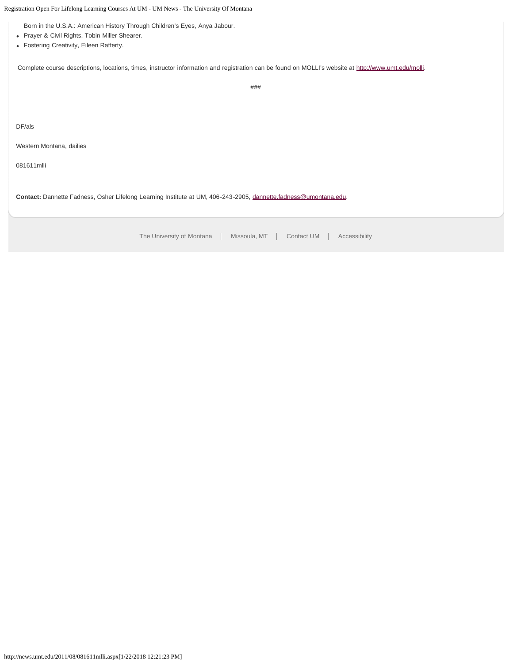Registration Open For Lifelong Learning Courses At UM - UM News - The University Of Montana

Born in the U.S.A.: American History Through Children's Eyes, Anya Jabour.

- Prayer & Civil Rights, Tobin Miller Shearer.
- Fostering Creativity, Eileen Rafferty.

Complete course descriptions, locations, times, instructor information and registration can be found on MOLLI's website at<http://www.umt.edu/molli>.

###

DF/als

Western Montana, dailies

081611mlli

**Contact:** Dannette Fadness, Osher Lifelong Learning Institute at UM, 406-243-2905, [dannette.fadness@umontana.edu.](mailto:dannette.fadness@umontana.edu)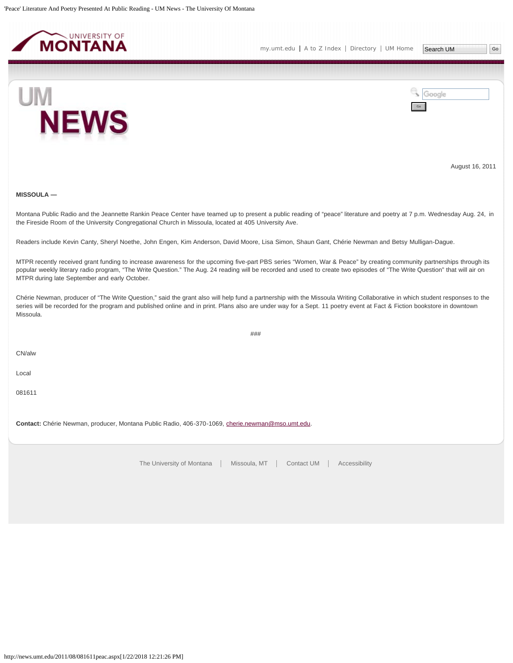<span id="page-30-0"></span>



August 16, 2011

# **MISSOULA —**

Montana Public Radio and the Jeannette Rankin Peace Center have teamed up to present a public reading of "peace" literature and poetry at 7 p.m. Wednesday Aug. 24, in the Fireside Room of the University Congregational Church in Missoula, located at 405 University Ave.

Readers include Kevin Canty, Sheryl Noethe, John Engen, Kim Anderson, David Moore, Lisa Simon, Shaun Gant, Chérie Newman and Betsy Mulligan-Dague.

MTPR recently received grant funding to increase awareness for the upcoming five-part PBS series "Women, War & Peace" by creating community partnerships through its popular weekly literary radio program, "The Write Question." The Aug. 24 reading will be recorded and used to create two episodes of "The Write Question" that will air on MTPR during late September and early October.

Chérie Newman, producer of "The Write Question," said the grant also will help fund a partnership with the Missoula Writing Collaborative in which student responses to the series will be recorded for the program and published online and in print. Plans also are under way for a Sept. 11 poetry event at Fact & Fiction bookstore in downtown Missoula.

###

CN/alw

Local

081611

**Contact:** Chérie Newman, producer, Montana Public Radio, 406-370-1069, [cherie.newman@mso.umt.edu](mailto:cherie.newman@mso.umt.edu).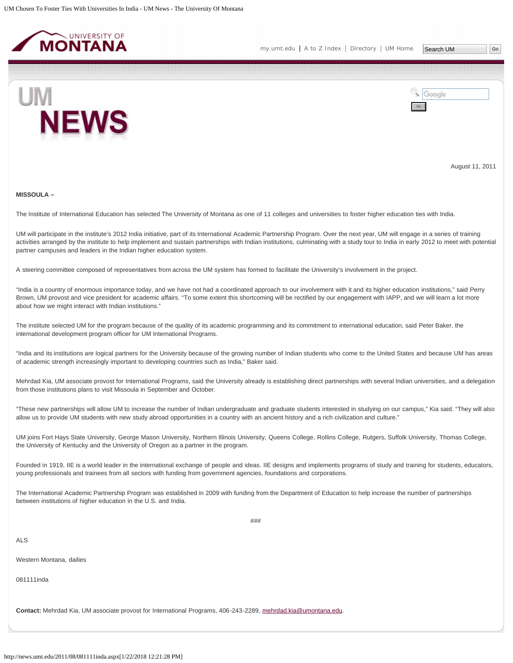<span id="page-31-0"></span>



August 11, 2011

#### **MISSOULA –**

The Institute of International Education has selected The University of Montana as one of 11 colleges and universities to foster higher education ties with India.

UM will participate in the institute's 2012 India initiative, part of its International Academic Partnership Program. Over the next year, UM will engage in a series of training activities arranged by the institute to help implement and sustain partnerships with Indian institutions, culminating with a study tour to India in early 2012 to meet with potential partner campuses and leaders in the Indian higher education system.

A steering committee composed of representatives from across the UM system has formed to facilitate the University's involvement in the project.

"India is a country of enormous importance today, and we have not had a coordinated approach to our involvement with it and its higher education institutions," said Perry Brown, UM provost and vice president for academic affairs. "To some extent this shortcoming will be rectified by our engagement with IAPP, and we will learn a lot more about how we might interact with Indian institutions."

The institute selected UM for the program because of the quality of its academic programming and its commitment to international education, said Peter Baker, the international development program officer for UM International Programs.

"India and its institutions are logical partners for the University because of the growing number of Indian students who come to the United States and because UM has areas of academic strength increasingly important to developing countries such as India," Baker said.

Mehrdad Kia, UM associate provost for International Programs, said the University already is establishing direct partnerships with several Indian universities, and a delegation from those institutions plans to visit Missoula in September and October.

"These new partnerships will allow UM to increase the number of Indian undergraduate and graduate students interested in studying on our campus," Kia said. "They will also allow us to provide UM students with new study abroad opportunities in a country with an ancient history and a rich civilization and culture."

UM joins Fort Hays State University, George Mason University, Northern Illinois University, Queens College, Rollins College, Rutgers, Suffolk University, Thomas College, the University of Kentucky and the University of Oregon as a partner in the program.

Founded in 1919, IIE is a world leader in the international exchange of people and ideas. IIE designs and implements programs of study and training for students, educators, young professionals and trainees from all sectors with funding from government agencies, foundations and corporations.

###

The International Academic Partnership Program was established in 2009 with funding from the Department of Education to help increase the number of partnerships between institutions of higher education in the U.S. and India.

ALS

Western Montana, dailies

081111inda

**Contact:** Mehrdad Kia, UM associate provost for International Programs, 406-243-2289, [mehrdad.kia@umontana.edu.](mailto:mehrdad.kia@umontana.edu)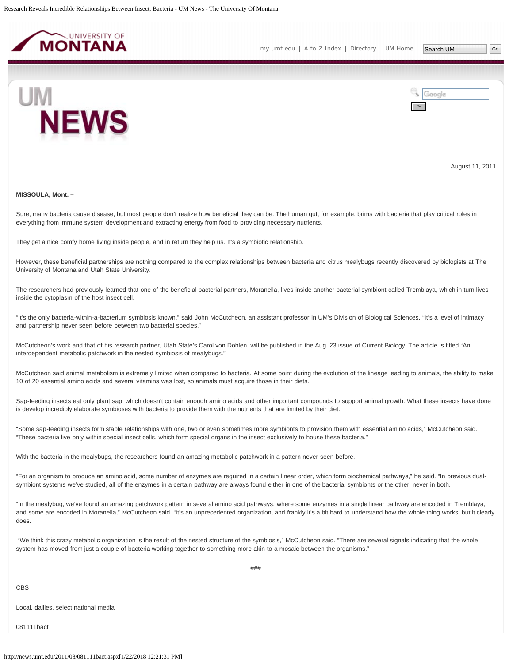<span id="page-33-0"></span>



August 11, 2011

#### **MISSOULA, Mont. –**

Sure, many bacteria cause disease, but most people don't realize how beneficial they can be. The human gut, for example, brims with bacteria that play critical roles in everything from immune system development and extracting energy from food to providing necessary nutrients.

They get a nice comfy home living inside people, and in return they help us. It's a symbiotic relationship.

However, these beneficial partnerships are nothing compared to the complex relationships between bacteria and citrus mealybugs recently discovered by biologists at The University of Montana and Utah State University.

The researchers had previously learned that one of the beneficial bacterial partners, Moranella, lives inside another bacterial symbiont called Tremblaya, which in turn lives inside the cytoplasm of the host insect cell.

"It's the only bacteria-within-a-bacterium symbiosis known," said John McCutcheon, an assistant professor in UM's Division of Biological Sciences. "It's a level of intimacy and partnership never seen before between two bacterial species."

McCutcheon's work and that of his research partner, Utah State's Carol von Dohlen, will be published in the Aug. 23 issue of Current Biology. The article is titled "An interdependent metabolic patchwork in the nested symbiosis of mealybugs."

McCutcheon said animal metabolism is extremely limited when compared to bacteria. At some point during the evolution of the lineage leading to animals, the ability to make 10 of 20 essential amino acids and several vitamins was lost, so animals must acquire those in their diets.

Sap-feeding insects eat only plant sap, which doesn't contain enough amino acids and other important compounds to support animal growth. What these insects have done is develop incredibly elaborate symbioses with bacteria to provide them with the nutrients that are limited by their diet.

"Some sap-feeding insects form stable relationships with one, two or even sometimes more symbionts to provision them with essential amino acids," McCutcheon said. "These bacteria live only within special insect cells, which form special organs in the insect exclusively to house these bacteria."

With the bacteria in the mealybugs, the researchers found an amazing metabolic patchwork in a pattern never seen before.

"For an organism to produce an amino acid, some number of enzymes are required in a certain linear order, which form biochemical pathways," he said. "In previous dualsymbiont systems we've studied, all of the enzymes in a certain pathway are always found either in one of the bacterial symbionts or the other, never in both.

"In the mealybug, we've found an amazing patchwork pattern in several amino acid pathways, where some enzymes in a single linear pathway are encoded in Tremblaya, and some are encoded in Moranella," McCutcheon said. "It's an unprecedented organization, and frankly it's a bit hard to understand how the whole thing works, but it clearly does.

"We think this crazy metabolic organization is the result of the nested structure of the symbiosis," McCutcheon said. "There are several signals indicating that the whole system has moved from just a couple of bacteria working together to something more akin to a mosaic between the organisms."

###

CBS

Local, dailies, select national media

081111bact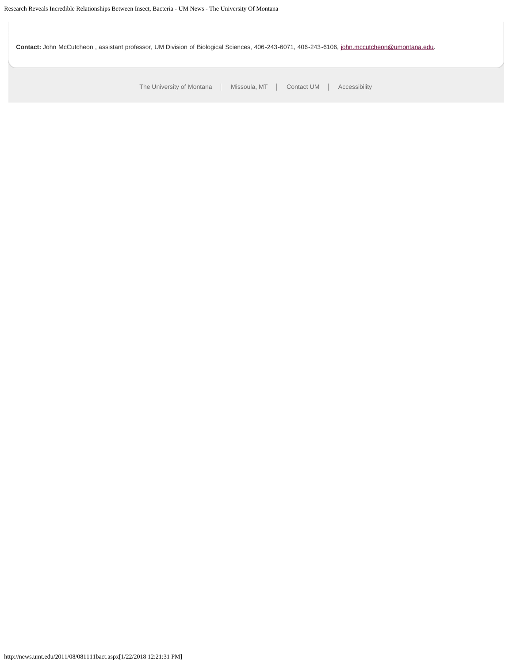**Contact:** John McCutcheon , assistant professor, UM Division of Biological Sciences, 406-243-6071, 406-243-6106, [john.mccutcheon@umontana.edu.](mailto:john.mccutcheon@umontana.edu)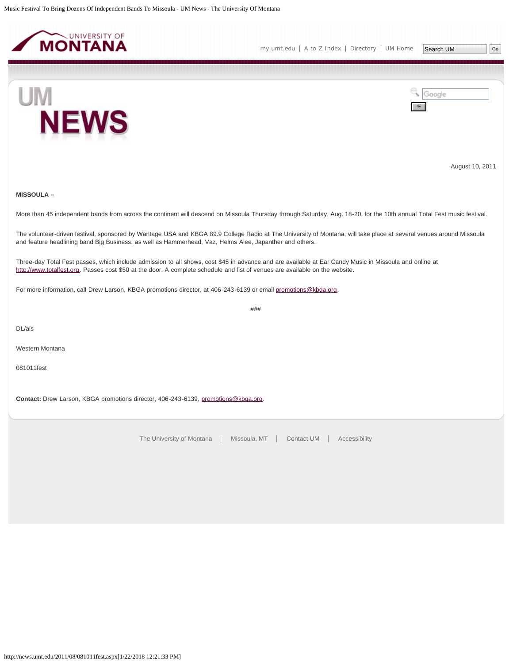<span id="page-35-0"></span>



August 10, 2011

# **MISSOULA –**

More than 45 independent bands from across the continent will descend on Missoula Thursday through Saturday, Aug. 18-20, for the 10th annual Total Fest music festival.

The volunteer-driven festival, sponsored by Wantage USA and KBGA 89.9 College Radio at The University of Montana, will take place at several venues around Missoula and feature headlining band Big Business, as well as Hammerhead, Vaz, Helms Alee, Japanther and others.

###

Three-day Total Fest passes, which include admission to all shows, cost \$45 in advance and are available at Ear Candy Music in Missoula and online at [http://www.totalfest.org](http://www.totalfest.org/). Passes cost \$50 at the door. A complete schedule and list of venues are available on the website.

For more information, call Drew Larson, KBGA promotions director, at 406-243-6139 or email [promotions@kbga.org](mailto:promotions@kbga.org).

DL/als

Western Montana

081011fest

**Contact:** Drew Larson, KBGA promotions director, 406-243-6139, [promotions@kbga.org.](mailto:promotions@kbga.org)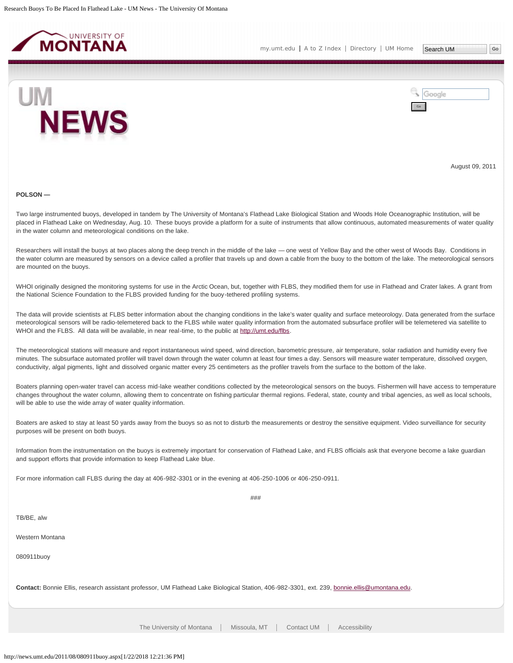<span id="page-36-0"></span>

**NEWS** 

Search UM



August 09, 2011

#### **POLSON —**

Two large instrumented buoys, developed in tandem by The University of Montana's Flathead Lake Biological Station and Woods Hole Oceanographic Institution, will be placed in Flathead Lake on Wednesday, Aug. 10. These buoys provide a platform for a suite of instruments that allow continuous, automated measurements of water quality in the water column and meteorological conditions on the lake.

Researchers will install the buoys at two places along the deep trench in the middle of the lake — one west of Yellow Bay and the other west of Woods Bay. Conditions in the water column are measured by sensors on a device called a profiler that travels up and down a cable from the buoy to the bottom of the lake. The meteorological sensors are mounted on the buoys.

WHOI originally designed the monitoring systems for use in the Arctic Ocean, but, together with FLBS, they modified them for use in Flathead and Crater lakes. A grant from the National Science Foundation to the FLBS provided funding for the buoy-tethered profiling systems.

The data will provide scientists at FLBS better information about the changing conditions in the lake's water quality and surface meteorology. Data generated from the surface meteorological sensors will be radio-telemetered back to the FLBS while water quality information from the automated subsurface profiler will be telemetered via satellite to WHOI and the FLBS. All data will be available, in near real-time, to the public at [http://umt.edu/flbs.](http://umt.edu/flbs)

The meteorological stations will measure and report instantaneous wind speed, wind direction, barometric pressure, air temperature, solar radiation and humidity every five minutes. The subsurface automated profiler will travel down through the water column at least four times a day. Sensors will measure water temperature, dissolved oxygen, conductivity, algal pigments, light and dissolved organic matter every 25 centimeters as the profiler travels from the surface to the bottom of the lake.

Boaters planning open-water travel can access mid-lake weather conditions collected by the meteorological sensors on the buoys. Fishermen will have access to temperature changes throughout the water column, allowing them to concentrate on fishing particular thermal regions. Federal, state, county and tribal agencies, as well as local schools, will be able to use the wide array of water quality information.

Boaters are asked to stay at least 50 yards away from the buoys so as not to disturb the measurements or destroy the sensitive equipment. Video surveillance for security purposes will be present on both buoys.

Information from the instrumentation on the buoys is extremely important for conservation of Flathead Lake, and FLBS officials ask that everyone become a lake guardian and support efforts that provide information to keep Flathead Lake blue.

For more information call FLBS during the day at 406-982-3301 or in the evening at 406-250-1006 or 406-250-0911.

###

TB/BE, alw

Western Montana

080911buoy

**Contact:** Bonnie Ellis, research assistant professor, UM Flathead Lake Biological Station, 406-982-3301, ext. 239, [bonnie.ellis@umontana.edu](mailto:bonnie.ellis@umontana.edu).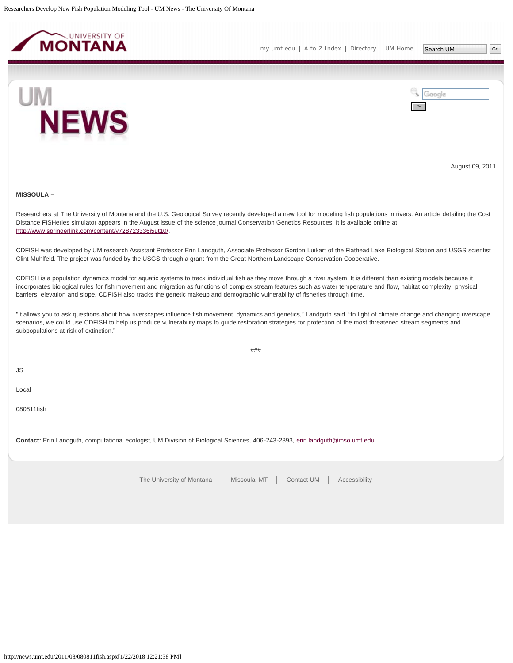<span id="page-38-0"></span>



August 09, 2011

# **MISSOULA –**

Researchers at The University of Montana and the U.S. Geological Survey recently developed a new tool for modeling fish populations in rivers. An article detailing the Cost Distance FISHeries simulator appears in the August issue of the science journal Conservation Genetics Resources. It is available online at <http://www.springerlink.com/content/v728723336j5ut10/>.

CDFISH was developed by UM research Assistant Professor Erin Landguth, Associate Professor Gordon Luikart of the Flathead Lake Biological Station and USGS scientist Clint Muhlfeld. The project was funded by the USGS through a grant from the Great Northern Landscape Conservation Cooperative.

CDFISH is a population dynamics model for aquatic systems to track individual fish as they move through a river system. It is different than existing models because it incorporates biological rules for fish movement and migration as functions of complex stream features such as water temperature and flow, habitat complexity, physical barriers, elevation and slope. CDFISH also tracks the genetic makeup and demographic vulnerability of fisheries through time.

"It allows you to ask questions about how riverscapes influence fish movement, dynamics and genetics," Landguth said. "In light of climate change and changing riverscape scenarios, we could use CDFISH to help us produce vulnerability maps to guide restoration strategies for protection of the most threatened stream segments and subpopulations at risk of extinction."

###

JS

Local

080811fish

**Contact:** Erin Landguth, computational ecologist, UM Division of Biological Sciences, 406-243-2393, [erin.landguth@mso.umt.edu](mailto:erin.landguth@mso.umt.edu).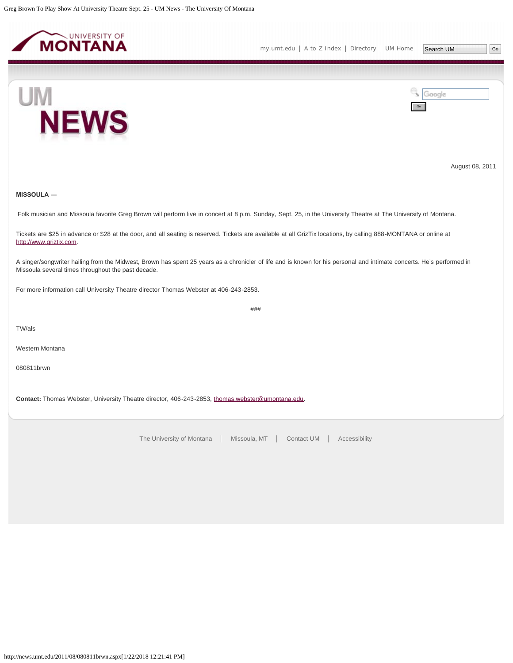<span id="page-39-0"></span>

**NEWS** 



August 08, 2011

# **MISSOULA ―**

**UM** 

Folk musician and Missoula favorite Greg Brown will perform live in concert at 8 p.m. Sunday, Sept. 25, in the University Theatre at The University of Montana.

Tickets are \$25 in advance or \$28 at the door, and all seating is reserved. Tickets are available at all GrizTix locations, by calling 888-MONTANA or online at [http://www.griztix.com](http://www.griztix.com/).

A singer/songwriter hailing from the Midwest, Brown has spent 25 years as a chronicler of life and is known for his personal and intimate concerts. He's performed in Missoula several times throughout the past decade.

For more information call University Theatre director Thomas Webster at 406-243-2853.

###

TW/als

Western Montana

080811brwn

**Contact:** Thomas Webster, University Theatre director, 406-243-2853, [thomas.webster@umontana.edu](mailto:thomas.webster@umontana.edu).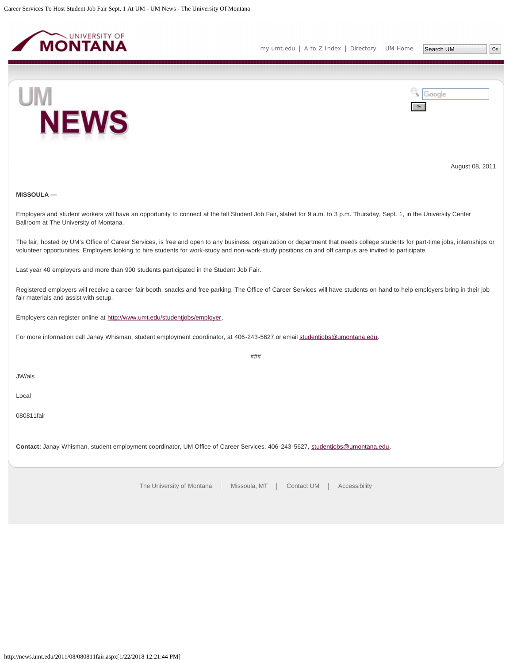<span id="page-40-0"></span>



August 08, 2011

# **MISSOULA —**

Employers and student workers will have an opportunity to connect at the fall Student Job Fair, slated for 9 a.m. to 3 p.m. Thursday, Sept. 1, in the University Center Ballroom at The University of Montana.

The fair, hosted by UM's Office of Career Services, is free and open to any business, organization or department that needs college students for part-time jobs, internships or volunteer opportunities. Employers looking to hire students for work-study and non-work-study positions on and off campus are invited to participate.

Last year 40 employers and more than 900 students participated in the Student Job Fair.

Registered employers will receive a career fair booth, snacks and free parking. The Office of Career Services will have students on hand to help employers bring in their job fair materials and assist with setup.

###

Employers can register online at<http://www.umt.edu/studentjobs/employer>.

For more information call Janay Whisman, student employment coordinator, at 406-243-5627 or email [studentjobs@umontana.edu.](mailto:studentjobs@umontana.edu)

JW/als

Local

080811fair

**Contact:** Janay Whisman, student employment coordinator, UM Office of Career Services, 406-243-5627, [studentjobs@umontana.edu.](mailto:studentjobs@umontana.edu)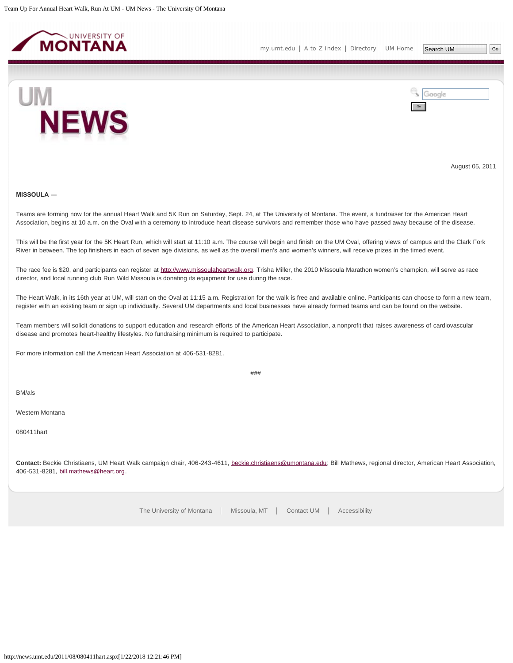<span id="page-41-0"></span>





August 05, 2011

# **MISSOULA ―**

Teams are forming now for the annual Heart Walk and 5K Run on Saturday, Sept. 24, at The University of Montana. The event, a fundraiser for the American Heart Association, begins at 10 a.m. on the Oval with a ceremony to introduce heart disease survivors and remember those who have passed away because of the disease.

This will be the first year for the 5K Heart Run, which will start at 11:10 a.m. The course will begin and finish on the UM Oval, offering views of campus and the Clark Fork River in between. The top finishers in each of seven age divisions, as well as the overall men's and women's winners, will receive prizes in the timed event.

The race fee is \$20, and participants can register at [http://www.missoulaheartwalk.org](http://www.missoulaheartwalk.org/). Trisha Miller, the 2010 Missoula Marathon women's champion, will serve as race director, and local running club Run Wild Missoula is donating its equipment for use during the race.

The Heart Walk, in its 16th year at UM, will start on the Oval at 11:15 a.m. Registration for the walk is free and available online. Participants can choose to form a new team, register with an existing team or sign up individually. Several UM departments and local businesses have already formed teams and can be found on the website.

Team members will solicit donations to support education and research efforts of the American Heart Association, a nonprofit that raises awareness of cardiovascular disease and promotes heart-healthy lifestyles. No fundraising minimum is required to participate.

For more information call the American Heart Association at 406-531-8281.

###

BM/als

Western Montana

080411hart

**Contact:** Beckie Christiaens, UM Heart Walk campaign chair, 406-243-4611, [beckie.christiaens@umontana.edu](mailto:beckie.christiaens@umontana.edu); Bill Mathews, regional director, American Heart Association, 406-531-8281, [bill.mathews@heart.org](mailto:bill.mathews@heart.org).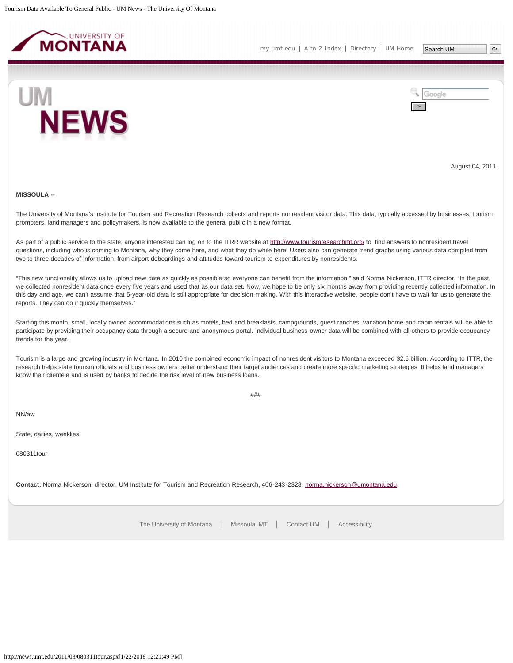<span id="page-42-0"></span>

Search UM



Google Go

August 04, 2011

#### **MISSOULA --**

The University of Montana's Institute for Tourism and Recreation Research collects and reports nonresident visitor data. This data, typically accessed by businesses, tourism promoters, land managers and policymakers, is now available to the general public in a new format.

As part of a public service to the state, anyone interested can log on to the ITRR website at <http://www.tourismresearchmt.org/>to find answers to nonresident travel questions, including who is coming to Montana, why they come here, and what they do while here. Users also can generate trend graphs using various data compiled from two to three decades of information, from airport deboardings and attitudes toward tourism to expenditures by nonresidents.

"This new functionality allows us to upload new data as quickly as possible so everyone can benefit from the information," said Norma Nickerson, ITTR director. "In the past, we collected nonresident data once every five years and used that as our data set. Now, we hope to be only six months away from providing recently collected information. In this day and age, we can't assume that 5-year-old data is still appropriate for decision-making. With this interactive website, people don't have to wait for us to generate the reports. They can do it quickly themselves."

Starting this month, small, locally owned accommodations such as motels, bed and breakfasts, campgrounds, guest ranches, vacation home and cabin rentals will be able to participate by providing their occupancy data through a secure and anonymous portal. Individual business-owner data will be combined with all others to provide occupancy trends for the year.

Tourism is a large and growing industry in Montana. In 2010 the combined economic impact of nonresident visitors to Montana exceeded \$2.6 billion. According to ITTR, the research helps state tourism officials and business owners better understand their target audiences and create more specific marketing strategies. It helps land managers know their clientele and is used by banks to decide the risk level of new business loans.

###

NN/aw

State, dailies, weeklies

080311tour

**Contact:** Norma Nickerson, director, UM Institute for Tourism and Recreation Research, 406-243-2328, [norma.nickerson@umontana.edu](mailto:norma.nickerson@umontana.edu).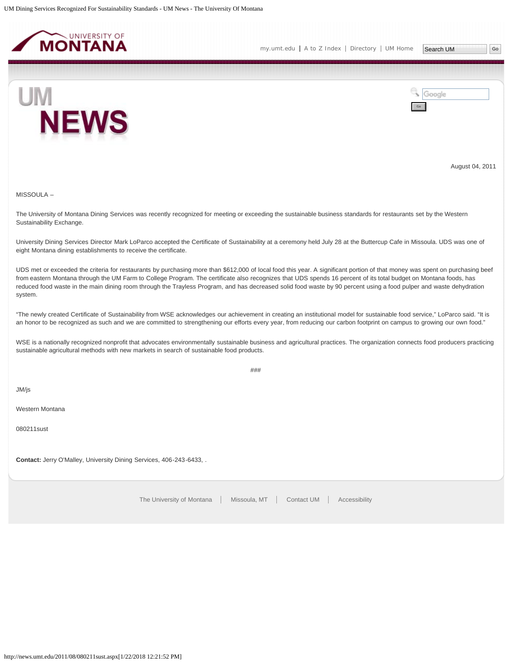<span id="page-43-0"></span>



August 04, 2011

MISSOULA –

The University of Montana Dining Services was recently recognized for meeting or exceeding the sustainable business standards for restaurants set by the Western Sustainability Exchange.

University Dining Services Director Mark LoParco accepted the Certificate of Sustainability at a ceremony held July 28 at the Buttercup Cafe in Missoula. UDS was one of eight Montana dining establishments to receive the certificate.

UDS met or exceeded the criteria for restaurants by purchasing more than \$612,000 of local food this year. A significant portion of that money was spent on purchasing beef from eastern Montana through the UM Farm to College Program. The certificate also recognizes that UDS spends 16 percent of its total budget on Montana foods, has reduced food waste in the main dining room through the Trayless Program, and has decreased solid food waste by 90 percent using a food pulper and waste dehydration system.

"The newly created Certificate of Sustainability from WSE acknowledges our achievement in creating an institutional model for sustainable food service," LoParco said. "It is an honor to be recognized as such and we are committed to strengthening our efforts every year, from reducing our carbon footprint on campus to growing our own food."

WSE is a nationally recognized nonprofit that advocates environmentally sustainable business and agricultural practices. The organization connects food producers practicing sustainable agricultural methods with new markets in search of sustainable food products.

###

JM/js

Western Montana

080211sust

**Contact:** Jerry O'Malley, University Dining Services, 406-243-6433, .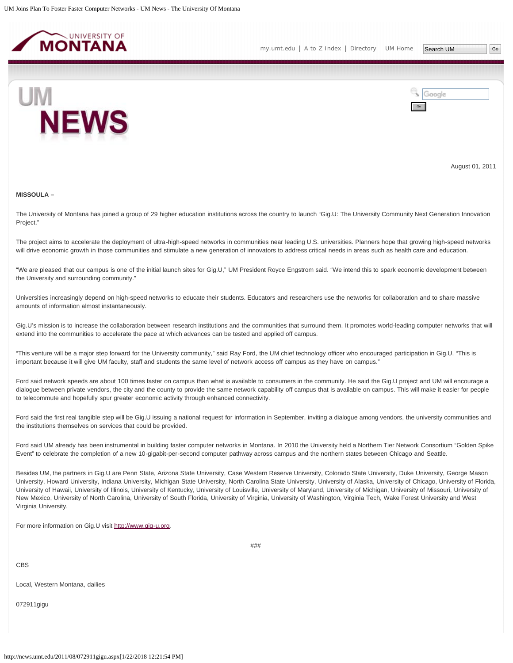<span id="page-44-0"></span>



August 01, 2011

#### **MISSOULA –**

The University of Montana has joined a group of 29 higher education institutions across the country to launch "Gig.U: The University Community Next Generation Innovation Project."

The project aims to accelerate the deployment of ultra-high-speed networks in communities near leading U.S. universities. Planners hope that growing high-speed networks will drive economic growth in those communities and stimulate a new generation of innovators to address critical needs in areas such as health care and education.

"We are pleased that our campus is one of the initial launch sites for Gig.U," UM President Royce Engstrom said. "We intend this to spark economic development between the University and surrounding community."

Universities increasingly depend on high-speed networks to educate their students. Educators and researchers use the networks for collaboration and to share massive amounts of information almost instantaneously.

Gig.U's mission is to increase the collaboration between research institutions and the communities that surround them. It promotes world-leading computer networks that will extend into the communities to accelerate the pace at which advances can be tested and applied off campus.

"This venture will be a major step forward for the University community," said Ray Ford, the UM chief technology officer who encouraged participation in Gig.U. "This is important because it will give UM faculty, staff and students the same level of network access off campus as they have on campus."

Ford said network speeds are about 100 times faster on campus than what is available to consumers in the community. He said the Gig.U project and UM will encourage a dialogue between private vendors, the city and the county to provide the same network capability off campus that is available on campus. This will make it easier for people to telecommute and hopefully spur greater economic activity through enhanced connectivity.

Ford said the first real tangible step will be Gig.U issuing a national request for information in September, inviting a dialogue among vendors, the university communities and the institutions themselves on services that could be provided.

Ford said UM already has been instrumental in building faster computer networks in Montana. In 2010 the University held a Northern Tier Network Consortium "Golden Spike Event" to celebrate the completion of a new 10-gigabit-per-second computer pathway across campus and the northern states between Chicago and Seattle.

Besides UM, the partners in Gig.U are Penn State, Arizona State University, Case Western Reserve University, Colorado State University, Duke University, George Mason University, Howard University, Indiana University, Michigan State University, North Carolina State University, University of Alaska, University of Chicago, University of Florida, University of Hawaii, University of Illinois, University of Kentucky, University of Louisville, University of Maryland, University of Michigan, University of Missouri, University of New Mexico, University of North Carolina, University of South Florida, University of Virginia, University of Washington, Virginia Tech, Wake Forest University and West Virginia University.

###

For more information on Gig.U visit [http://www.gig-u.org.](http://www.gig-u.org/)

CBS

Local, Western Montana, dailies

072911gigu